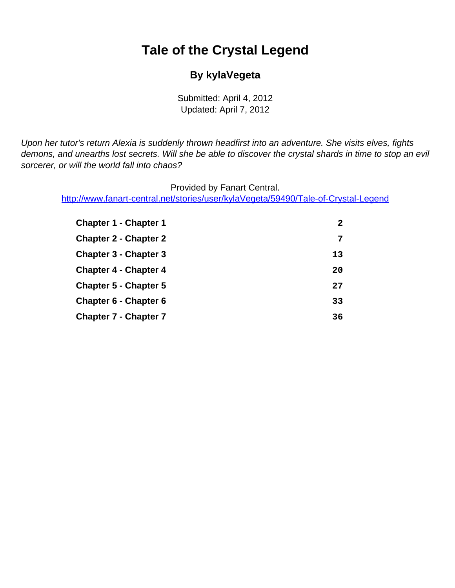# **Tale of the Crystal Legend**

#### **By kylaVegeta**

Submitted: April 4, 2012 Updated: April 7, 2012

<span id="page-0-0"></span>Upon her tutor's return Alexia is suddenly thrown headfirst into an adventure. She visits elves, fights demons, and unearths lost secrets. Will she be able to discover the crystal shards in time to stop an evil sorcerer, or will the world fall into chaos?

Provided by Fanart Central.

[http://www.fanart-central.net/stories/user/kylaVegeta/59490/Tale-of-Crystal-Legend](#page-0-0)

| <b>Chapter 1 - Chapter 1</b> | 2  |
|------------------------------|----|
| <b>Chapter 2 - Chapter 2</b> | 7  |
| <b>Chapter 3 - Chapter 3</b> | 13 |
| <b>Chapter 4 - Chapter 4</b> | 20 |
| <b>Chapter 5 - Chapter 5</b> | 27 |
| <b>Chapter 6 - Chapter 6</b> | 33 |
| <b>Chapter 7 - Chapter 7</b> | 36 |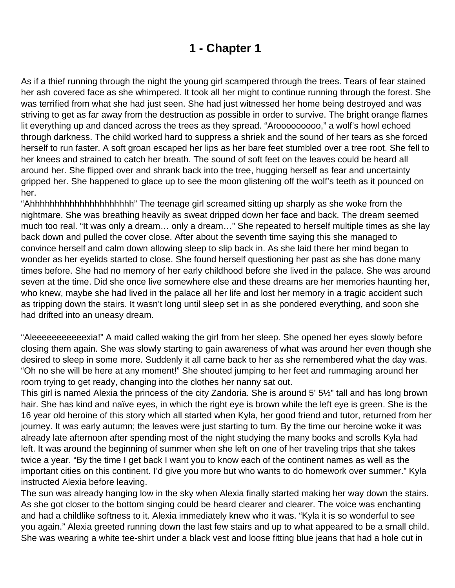# **1 - Chapter 1**

<span id="page-1-0"></span>As if a thief running through the night the young girl scampered through the trees. Tears of fear stained her ash covered face as she whimpered. It took all her might to continue running through the forest. She was terrified from what she had just seen. She had just witnessed her home being destroyed and was striving to get as far away from the destruction as possible in order to survive. The bright orange flames lit everything up and danced across the trees as they spread. "Arooooooooo," a wolf's howl echoed through darkness. The child worked hard to suppress a shriek and the sound of her tears as she forced herself to run faster. A soft groan escaped her lips as her bare feet stumbled over a tree root. She fell to her knees and strained to catch her breath. The sound of soft feet on the leaves could be heard all around her. She flipped over and shrank back into the tree, hugging herself as fear and uncertainty gripped her. She happened to glace up to see the moon glistening off the wolf's teeth as it pounced on her.

"Ahhhhhhhhhhhhhhhhhhhhh" The teenage girl screamed sitting up sharply as she woke from the nightmare. She was breathing heavily as sweat dripped down her face and back. The dream seemed much too real. "It was only a dream… only a dream…" She repeated to herself multiple times as she lay back down and pulled the cover close. After about the seventh time saying this she managed to convince herself and calm down allowing sleep to slip back in. As she laid there her mind began to wonder as her eyelids started to close. She found herself questioning her past as she has done many times before. She had no memory of her early childhood before she lived in the palace. She was around seven at the time. Did she once live somewhere else and these dreams are her memories haunting her, who knew, maybe she had lived in the palace all her life and lost her memory in a tragic accident such as tripping down the stairs. It wasn't long until sleep set in as she pondered everything, and soon she had drifted into an uneasy dream.

"Aleeeeeeeeeeexia!" A maid called waking the girl from her sleep. She opened her eyes slowly before closing them again. She was slowly starting to gain awareness of what was around her even though she desired to sleep in some more. Suddenly it all came back to her as she remembered what the day was. "Oh no she will be here at any moment!" She shouted jumping to her feet and rummaging around her room trying to get ready, changing into the clothes her nanny sat out.

This girl is named Alexia the princess of the city Zandoria. She is around 5' 5½" tall and has long brown hair. She has kind and naïve eyes, in which the right eye is brown while the left eye is green. She is the 16 year old heroine of this story which all started when Kyla, her good friend and tutor, returned from her journey. It was early autumn; the leaves were just starting to turn. By the time our heroine woke it was already late afternoon after spending most of the night studying the many books and scrolls Kyla had left. It was around the beginning of summer when she left on one of her traveling trips that she takes twice a year. "By the time I get back I want you to know each of the continent names as well as the important cities on this continent. I'd give you more but who wants to do homework over summer." Kyla instructed Alexia before leaving.

The sun was already hanging low in the sky when Alexia finally started making her way down the stairs. As she got closer to the bottom singing could be heard clearer and clearer. The voice was enchanting and had a childlike softness to it. Alexia immediately knew who it was. "Kyla it is so wonderful to see you again." Alexia greeted running down the last few stairs and up to what appeared to be a small child. She was wearing a white tee-shirt under a black vest and loose fitting blue jeans that had a hole cut in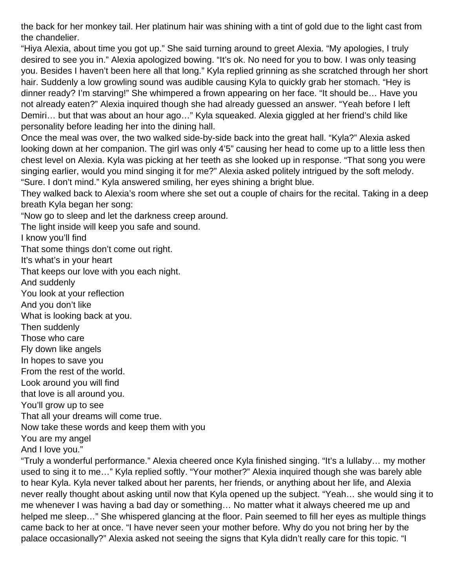the back for her monkey tail. Her platinum hair was shining with a tint of gold due to the light cast from the chandelier.

"Hiya Alexia, about time you got up." She said turning around to greet Alexia. "My apologies, I truly desired to see you in." Alexia apologized bowing. "It's ok. No need for you to bow. I was only teasing you. Besides I haven't been here all that long." Kyla replied grinning as she scratched through her short hair. Suddenly a low growling sound was audible causing Kyla to quickly grab her stomach. "Hey is dinner ready? I'm starving!" She whimpered a frown appearing on her face. "It should be… Have you not already eaten?" Alexia inquired though she had already guessed an answer. "Yeah before I left Demiri… but that was about an hour ago…" Kyla squeaked. Alexia giggled at her friend's child like personality before leading her into the dining hall.

Once the meal was over, the two walked side-by-side back into the great hall. "Kyla?" Alexia asked looking down at her companion. The girl was only 4'5" causing her head to come up to a little less then chest level on Alexia. Kyla was picking at her teeth as she looked up in response. "That song you were singing earlier, would you mind singing it for me?" Alexia asked politely intrigued by the soft melody. "Sure. I don't mind." Kyla answered smiling, her eyes shining a bright blue.

They walked back to Alexia's room where she set out a couple of chairs for the recital. Taking in a deep breath Kyla began her song:

"Now go to sleep and let the darkness creep around.

The light inside will keep you safe and sound.

I know you'll find

That some things don't come out right.

It's what's in your heart

That keeps our love with you each night.

And suddenly

You look at your reflection

And you don't like

What is looking back at you.

Then suddenly

Those who care

Fly down like angels

In hopes to save you

From the rest of the world.

Look around you will find

that love is all around you.

You'll grow up to see

That all your dreams will come true.

Now take these words and keep them with you

You are my angel

And I love you."

"Truly a wonderful performance." Alexia cheered once Kyla finished singing. "It's a lullaby… my mother used to sing it to me…" Kyla replied softly. "Your mother?" Alexia inquired though she was barely able to hear Kyla. Kyla never talked about her parents, her friends, or anything about her life, and Alexia never really thought about asking until now that Kyla opened up the subject. "Yeah… she would sing it to me whenever I was having a bad day or something… No matter what it always cheered me up and helped me sleep…" She whispered glancing at the floor. Pain seemed to fill her eyes as multiple things came back to her at once. "I have never seen your mother before. Why do you not bring her by the palace occasionally?" Alexia asked not seeing the signs that Kyla didn't really care for this topic. "I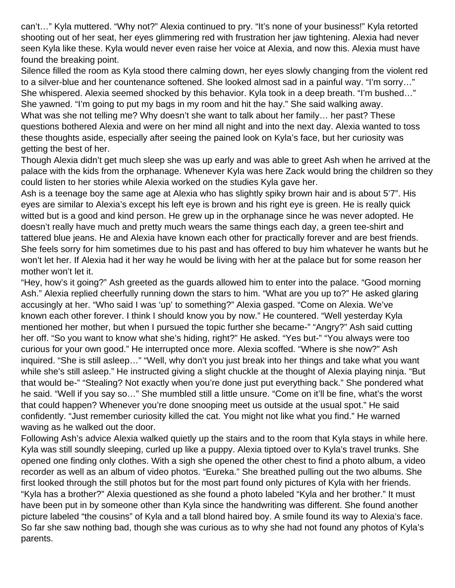can't…" Kyla muttered. "Why not?" Alexia continued to pry. "It's none of your business!" Kyla retorted shooting out of her seat, her eyes glimmering red with frustration her jaw tightening. Alexia had never seen Kyla like these. Kyla would never even raise her voice at Alexia, and now this. Alexia must have found the breaking point.

Silence filled the room as Kyla stood there calming down, her eyes slowly changing from the violent red to a silver-blue and her countenance softened. She looked almost sad in a painful way. "I'm sorry…" She whispered. Alexia seemed shocked by this behavior. Kyla took in a deep breath. "I'm bushed…" She yawned. "I'm going to put my bags in my room and hit the hay." She said walking away.

What was she not telling me? Why doesn't she want to talk about her family… her past? These questions bothered Alexia and were on her mind all night and into the next day. Alexia wanted to toss these thoughts aside, especially after seeing the pained look on Kyla's face, but her curiosity was getting the best of her.

Though Alexia didn't get much sleep she was up early and was able to greet Ash when he arrived at the palace with the kids from the orphanage. Whenever Kyla was here Zack would bring the children so they could listen to her stories while Alexia worked on the studies Kyla gave her.

Ash is a teenage boy the same age at Alexia who has slightly spiky brown hair and is about 5'7". His eyes are similar to Alexia's except his left eye is brown and his right eye is green. He is really quick witted but is a good and kind person. He grew up in the orphanage since he was never adopted. He doesn't really have much and pretty much wears the same things each day, a green tee-shirt and tattered blue jeans. He and Alexia have known each other for practically forever and are best friends. She feels sorry for him sometimes due to his past and has offered to buy him whatever he wants but he won't let her. If Alexia had it her way he would be living with her at the palace but for some reason her mother won't let it.

"Hey, how's it going?" Ash greeted as the guards allowed him to enter into the palace. "Good morning Ash." Alexia replied cheerfully running down the stars to him. "What are you up to?" He asked glaring accusingly at her. "Who said I was 'up' to something?" Alexia gasped. "Come on Alexia. We've known each other forever. I think I should know you by now." He countered. "Well yesterday Kyla mentioned her mother, but when I pursued the topic further she became-" "Angry?" Ash said cutting her off. "So you want to know what she's hiding, right?" He asked. "Yes but-" "You always were too curious for your own good." He interrupted once more. Alexia scoffed. "Where is she now?" Ash inquired. "She is still asleep…" "Well, why don't you just break into her things and take what you want while she's still asleep." He instructed giving a slight chuckle at the thought of Alexia playing ninja. "But that would be-" "Stealing? Not exactly when you're done just put everything back." She pondered what he said. "Well if you say so…" She mumbled still a little unsure. "Come on it'll be fine, what's the worst that could happen? Whenever you're done snooping meet us outside at the usual spot." He said confidently. "Just remember curiosity killed the cat. You might not like what you find." He warned waving as he walked out the door.

Following Ash's advice Alexia walked quietly up the stairs and to the room that Kyla stays in while here. Kyla was still soundly sleeping, curled up like a puppy. Alexia tiptoed over to Kyla's travel trunks. She opened one finding only clothes. With a sigh she opened the other chest to find a photo album, a video recorder as well as an album of video photos. "Eureka." She breathed pulling out the two albums. She first looked through the still photos but for the most part found only pictures of Kyla with her friends. "Kyla has a brother?" Alexia questioned as she found a photo labeled "Kyla and her brother." It must have been put in by someone other than Kyla since the handwriting was different. She found another picture labeled "the cousins" of Kyla and a tall blond haired boy. A smile found its way to Alexia's face. So far she saw nothing bad, though she was curious as to why she had not found any photos of Kyla's parents.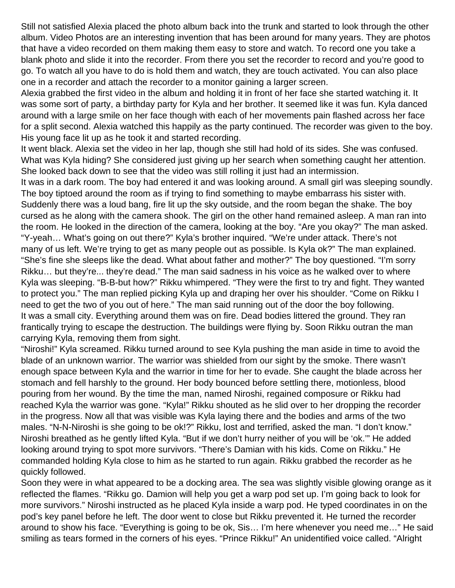Still not satisfied Alexia placed the photo album back into the trunk and started to look through the other album. Video Photos are an interesting invention that has been around for many years. They are photos that have a video recorded on them making them easy to store and watch. To record one you take a blank photo and slide it into the recorder. From there you set the recorder to record and you're good to go. To watch all you have to do is hold them and watch, they are touch activated. You can also place one in a recorder and attach the recorder to a monitor gaining a larger screen.

Alexia grabbed the first video in the album and holding it in front of her face she started watching it. It was some sort of party, a birthday party for Kyla and her brother. It seemed like it was fun. Kyla danced around with a large smile on her face though with each of her movements pain flashed across her face for a split second. Alexia watched this happily as the party continued. The recorder was given to the boy. His young face lit up as he took it and started recording.

It went black. Alexia set the video in her lap, though she still had hold of its sides. She was confused. What was Kyla hiding? She considered just giving up her search when something caught her attention. She looked back down to see that the video was still rolling it just had an intermission.

It was in a dark room. The boy had entered it and was looking around. A small girl was sleeping soundly. The boy tiptoed around the room as if trying to find something to maybe embarrass his sister with. Suddenly there was a loud bang, fire lit up the sky outside, and the room began the shake. The boy cursed as he along with the camera shook. The girl on the other hand remained asleep. A man ran into the room. He looked in the direction of the camera, looking at the boy. "Are you okay?" The man asked. "Y-yeah… What's going on out there?" Kyla's brother inquired. "We're under attack. There's not many of us left. We're trying to get as many people out as possible. Is Kyla ok?" The man explained. "She's fine she sleeps like the dead. What about father and mother?" The boy questioned. "I'm sorry Rikku… but they're... they're dead." The man said sadness in his voice as he walked over to where Kyla was sleeping. "B-B-but how?" Rikku whimpered. "They were the first to try and fight. They wanted to protect you." The man replied picking Kyla up and draping her over his shoulder. "Come on Rikku I need to get the two of you out of here." The man said running out of the door the boy following. It was a small city. Everything around them was on fire. Dead bodies littered the ground. They ran frantically trying to escape the destruction. The buildings were flying by. Soon Rikku outran the man carrying Kyla, removing them from sight.

"Niroshi!" Kyla screamed. Rikku turned around to see Kyla pushing the man aside in time to avoid the blade of an unknown warrior. The warrior was shielded from our sight by the smoke. There wasn't enough space between Kyla and the warrior in time for her to evade. She caught the blade across her stomach and fell harshly to the ground. Her body bounced before settling there, motionless, blood pouring from her wound. By the time the man, named Niroshi, regained composure or Rikku had reached Kyla the warrior was gone. "Kyla!" Rikku shouted as he slid over to her dropping the recorder in the progress. Now all that was visible was Kyla laying there and the bodies and arms of the two males. "N-N-Niroshi is she going to be ok!?" Rikku, lost and terrified, asked the man. "I don't know." Niroshi breathed as he gently lifted Kyla. "But if we don't hurry neither of you will be 'ok.'" He added looking around trying to spot more survivors. "There's Damian with his kids. Come on Rikku." He commanded holding Kyla close to him as he started to run again. Rikku grabbed the recorder as he quickly followed.

Soon they were in what appeared to be a docking area. The sea was slightly visible glowing orange as it reflected the flames. "Rikku go. Damion will help you get a warp pod set up. I'm going back to look for more survivors." Niroshi instructed as he placed Kyla inside a warp pod. He typed coordinates in on the pod's key panel before he left. The door went to close but Rikku prevented it. He turned the recorder around to show his face. "Everything is going to be ok, Sis… I'm here whenever you need me…" He said smiling as tears formed in the corners of his eyes. "Prince Rikku!" An unidentified voice called. "Alright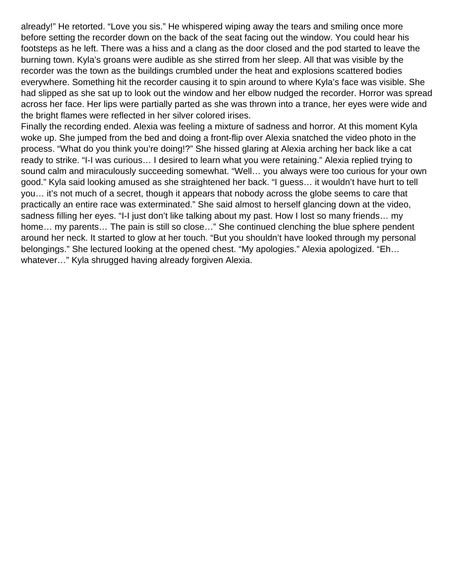already!" He retorted. "Love you sis." He whispered wiping away the tears and smiling once more before setting the recorder down on the back of the seat facing out the window. You could hear his footsteps as he left. There was a hiss and a clang as the door closed and the pod started to leave the burning town. Kyla's groans were audible as she stirred from her sleep. All that was visible by the recorder was the town as the buildings crumbled under the heat and explosions scattered bodies everywhere. Something hit the recorder causing it to spin around to where Kyla's face was visible. She had slipped as she sat up to look out the window and her elbow nudged the recorder. Horror was spread across her face. Her lips were partially parted as she was thrown into a trance, her eyes were wide and the bright flames were reflected in her silver colored irises.

Finally the recording ended. Alexia was feeling a mixture of sadness and horror. At this moment Kyla woke up. She jumped from the bed and doing a front-flip over Alexia snatched the video photo in the process. "What do you think you're doing!?" She hissed glaring at Alexia arching her back like a cat ready to strike. "I-I was curious… I desired to learn what you were retaining." Alexia replied trying to sound calm and miraculously succeeding somewhat. "Well… you always were too curious for your own good." Kyla said looking amused as she straightened her back. "I guess… it wouldn't have hurt to tell you… it's not much of a secret, though it appears that nobody across the globe seems to care that practically an entire race was exterminated." She said almost to herself glancing down at the video, sadness filling her eyes. "I-I just don't like talking about my past. How I lost so many friends… my home... my parents... The pain is still so close..." She continued clenching the blue sphere pendent around her neck. It started to glow at her touch. "But you shouldn't have looked through my personal belongings." She lectured looking at the opened chest. "My apologies." Alexia apologized. "Eh… whatever…" Kyla shrugged having already forgiven Alexia.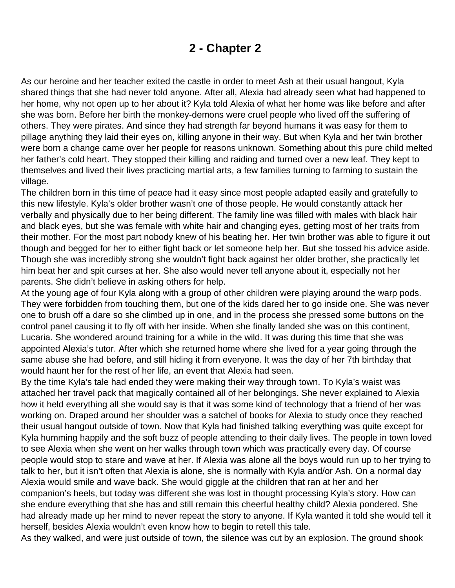### **2 - Chapter 2**

<span id="page-6-0"></span>As our heroine and her teacher exited the castle in order to meet Ash at their usual hangout, Kyla shared things that she had never told anyone. After all, Alexia had already seen what had happened to her home, why not open up to her about it? Kyla told Alexia of what her home was like before and after she was born. Before her birth the monkey-demons were cruel people who lived off the suffering of others. They were pirates. And since they had strength far beyond humans it was easy for them to pillage anything they laid their eyes on, killing anyone in their way. But when Kyla and her twin brother were born a change came over her people for reasons unknown. Something about this pure child melted her father's cold heart. They stopped their killing and raiding and turned over a new leaf. They kept to themselves and lived their lives practicing martial arts, a few families turning to farming to sustain the village.

The children born in this time of peace had it easy since most people adapted easily and gratefully to this new lifestyle. Kyla's older brother wasn't one of those people. He would constantly attack her verbally and physically due to her being different. The family line was filled with males with black hair and black eyes, but she was female with white hair and changing eyes, getting most of her traits from their mother. For the most part nobody knew of his beating her. Her twin brother was able to figure it out though and begged for her to either fight back or let someone help her. But she tossed his advice aside. Though she was incredibly strong she wouldn't fight back against her older brother, she practically let him beat her and spit curses at her. She also would never tell anyone about it, especially not her parents. She didn't believe in asking others for help.

At the young age of four Kyla along with a group of other children were playing around the warp pods. They were forbidden from touching them, but one of the kids dared her to go inside one. She was never one to brush off a dare so she climbed up in one, and in the process she pressed some buttons on the control panel causing it to fly off with her inside. When she finally landed she was on this continent, Lucaria. She wondered around training for a while in the wild. It was during this time that she was appointed Alexia's tutor. After which she returned home where she lived for a year going through the same abuse she had before, and still hiding it from everyone. It was the day of her 7th birthday that would haunt her for the rest of her life, an event that Alexia had seen.

By the time Kyla's tale had ended they were making their way through town. To Kyla's waist was attached her travel pack that magically contained all of her belongings. She never explained to Alexia how it held everything all she would say is that it was some kind of technology that a friend of her was working on. Draped around her shoulder was a satchel of books for Alexia to study once they reached their usual hangout outside of town. Now that Kyla had finished talking everything was quite except for Kyla humming happily and the soft buzz of people attending to their daily lives. The people in town loved to see Alexia when she went on her walks through town which was practically every day. Of course people would stop to stare and wave at her. If Alexia was alone all the boys would run up to her trying to talk to her, but it isn't often that Alexia is alone, she is normally with Kyla and/or Ash. On a normal day Alexia would smile and wave back. She would giggle at the children that ran at her and her companion's heels, but today was different she was lost in thought processing Kyla's story. How can she endure everything that she has and still remain this cheerful healthy child? Alexia pondered. She had already made up her mind to never repeat the story to anyone. If Kyla wanted it told she would tell it herself, besides Alexia wouldn't even know how to begin to retell this tale.

As they walked, and were just outside of town, the silence was cut by an explosion. The ground shook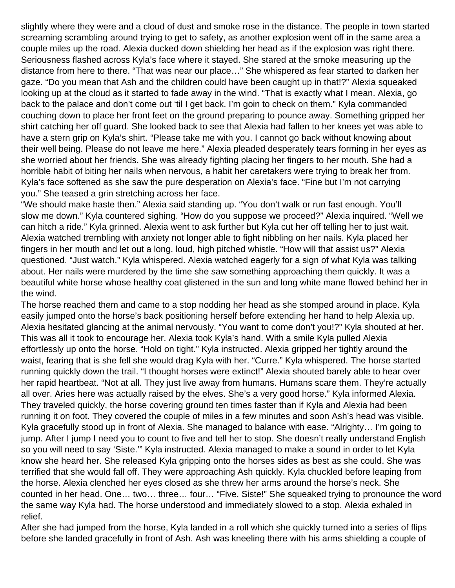slightly where they were and a cloud of dust and smoke rose in the distance. The people in town started screaming scrambling around trying to get to safety, as another explosion went off in the same area a couple miles up the road. Alexia ducked down shielding her head as if the explosion was right there. Seriousness flashed across Kyla's face where it stayed. She stared at the smoke measuring up the distance from here to there. "That was near our place…" She whispered as fear started to darken her gaze. "Do you mean that Ash and the children could have been caught up in that!?" Alexia squeaked looking up at the cloud as it started to fade away in the wind. "That is exactly what I mean. Alexia, go back to the palace and don't come out 'til I get back. I'm goin to check on them." Kyla commanded couching down to place her front feet on the ground preparing to pounce away. Something gripped her shirt catching her off guard. She looked back to see that Alexia had fallen to her knees yet was able to have a stern grip on Kyla's shirt. "Please take me with you. I cannot go back without knowing about their well being. Please do not leave me here." Alexia pleaded desperately tears forming in her eyes as she worried about her friends. She was already fighting placing her fingers to her mouth. She had a horrible habit of biting her nails when nervous, a habit her caretakers were trying to break her from. Kyla's face softened as she saw the pure desperation on Alexia's face. "Fine but I'm not carrying you." She teased a grin stretching across her face.

"We should make haste then." Alexia said standing up. "You don't walk or run fast enough. You'll slow me down." Kyla countered sighing. "How do you suppose we proceed?" Alexia inquired. "Well we can hitch a ride." Kyla grinned. Alexia went to ask further but Kyla cut her off telling her to just wait. Alexia watched trembling with anxiety not longer able to fight nibbling on her nails. Kyla placed her fingers in her mouth and let out a long, loud, high pitched whistle. "How will that assist us?" Alexia questioned. "Just watch." Kyla whispered. Alexia watched eagerly for a sign of what Kyla was talking about. Her nails were murdered by the time she saw something approaching them quickly. It was a beautiful white horse whose healthy coat glistened in the sun and long white mane flowed behind her in the wind.

The horse reached them and came to a stop nodding her head as she stomped around in place. Kyla easily jumped onto the horse's back positioning herself before extending her hand to help Alexia up. Alexia hesitated glancing at the animal nervously. "You want to come don't you!?" Kyla shouted at her. This was all it took to encourage her. Alexia took Kyla's hand. With a smile Kyla pulled Alexia effortlessly up onto the horse. "Hold on tight." Kyla instructed. Alexia gripped her tightly around the waist, fearing that is she fell she would drag Kyla with her. "Curre." Kyla whispered. The horse started running quickly down the trail. "I thought horses were extinct!" Alexia shouted barely able to hear over her rapid heartbeat. "Not at all. They just live away from humans. Humans scare them. They're actually all over. Aries here was actually raised by the elves. She's a very good horse." Kyla informed Alexia. They traveled quickly, the horse covering ground ten times faster than if Kyla and Alexia had been running it on foot. They covered the couple of miles in a few minutes and soon Ash's head was visible. Kyla gracefully stood up in front of Alexia. She managed to balance with ease. "Alrighty… I'm going to jump. After I jump I need you to count to five and tell her to stop. She doesn't really understand English so you will need to say 'Siste.'" Kyla instructed. Alexia managed to make a sound in order to let Kyla know she heard her. She released Kyla gripping onto the horses sides as best as she could. She was terrified that she would fall off. They were approaching Ash quickly. Kyla chuckled before leaping from the horse. Alexia clenched her eyes closed as she threw her arms around the horse's neck. She counted in her head. One… two… three… four… "Five. Siste!" She squeaked trying to pronounce the word the same way Kyla had. The horse understood and immediately slowed to a stop. Alexia exhaled in relief.

After she had jumped from the horse, Kyla landed in a roll which she quickly turned into a series of flips before she landed gracefully in front of Ash. Ash was kneeling there with his arms shielding a couple of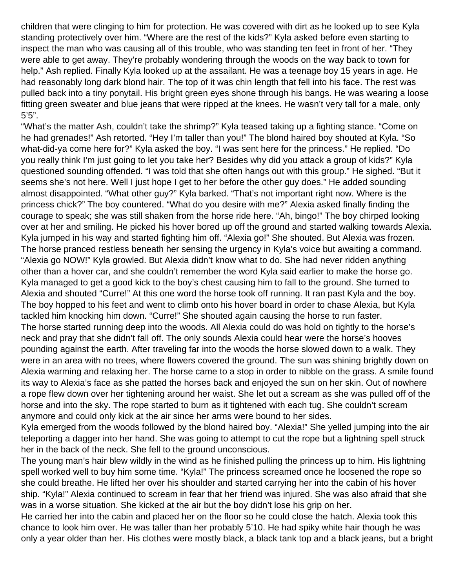children that were clinging to him for protection. He was covered with dirt as he looked up to see Kyla standing protectively over him. "Where are the rest of the kids?" Kyla asked before even starting to inspect the man who was causing all of this trouble, who was standing ten feet in front of her. "They were able to get away. They're probably wondering through the woods on the way back to town for help." Ash replied. Finally Kyla looked up at the assailant. He was a teenage boy 15 years in age. He had reasonably long dark blond hair. The top of it was chin length that fell into his face. The rest was pulled back into a tiny ponytail. His bright green eyes shone through his bangs. He was wearing a loose fitting green sweater and blue jeans that were ripped at the knees. He wasn't very tall for a male, only 5'5".

"What's the matter Ash, couldn't take the shrimp?" Kyla teased taking up a fighting stance. "Come on he had grenades!" Ash retorted. "Hey I'm taller than you!" The blond haired boy shouted at Kyla. "So what-did-ya come here for?" Kyla asked the boy. "I was sent here for the princess." He replied. "Do you really think I'm just going to let you take her? Besides why did you attack a group of kids?" Kyla questioned sounding offended. "I was told that she often hangs out with this group." He sighed. "But it seems she's not here. Well I just hope I get to her before the other guy does." He added sounding almost disappointed. "What other guy?" Kyla barked. "That's not important right now. Where is the princess chick?" The boy countered. "What do you desire with me?" Alexia asked finally finding the courage to speak; she was still shaken from the horse ride here. "Ah, bingo!" The boy chirped looking over at her and smiling. He picked his hover bored up off the ground and started walking towards Alexia. Kyla jumped in his way and started fighting him off. "Alexia go!" She shouted. But Alexia was frozen. The horse pranced restless beneath her sensing the urgency in Kyla's voice but awaiting a command. "Alexia go NOW!" Kyla growled. But Alexia didn't know what to do. She had never ridden anything other than a hover car, and she couldn't remember the word Kyla said earlier to make the horse go. Kyla managed to get a good kick to the boy's chest causing him to fall to the ground. She turned to Alexia and shouted "Curre!" At this one word the horse took off running. It ran past Kyla and the boy. The boy hopped to his feet and went to climb onto his hover board in order to chase Alexia, but Kyla tackled him knocking him down. "Curre!" She shouted again causing the horse to run faster. The horse started running deep into the woods. All Alexia could do was hold on tightly to the horse's neck and pray that she didn't fall off. The only sounds Alexia could hear were the horse's hooves pounding against the earth. After traveling far into the woods the horse slowed down to a walk. They were in an area with no trees, where flowers covered the ground. The sun was shining brightly down on Alexia warming and relaxing her. The horse came to a stop in order to nibble on the grass. A smile found its way to Alexia's face as she patted the horses back and enjoyed the sun on her skin. Out of nowhere a rope flew down over her tightening around her waist. She let out a scream as she was pulled off of the horse and into the sky. The rope started to burn as it tightened with each tug. She couldn't scream anymore and could only kick at the air since her arms were bound to her sides.

Kyla emerged from the woods followed by the blond haired boy. "Alexia!" She yelled jumping into the air teleporting a dagger into her hand. She was going to attempt to cut the rope but a lightning spell struck her in the back of the neck. She fell to the ground unconscious.

The young man's hair blew wildly in the wind as he finished pulling the princess up to him. His lightning spell worked well to buy him some time. "Kyla!" The princess screamed once he loosened the rope so she could breathe. He lifted her over his shoulder and started carrying her into the cabin of his hover ship. "Kyla!" Alexia continued to scream in fear that her friend was injured. She was also afraid that she was in a worse situation. She kicked at the air but the boy didn't lose his grip on her.

He carried her into the cabin and placed her on the floor so he could close the hatch. Alexia took this chance to look him over. He was taller than her probably 5'10. He had spiky white hair though he was only a year older than her. His clothes were mostly black, a black tank top and a black jeans, but a bright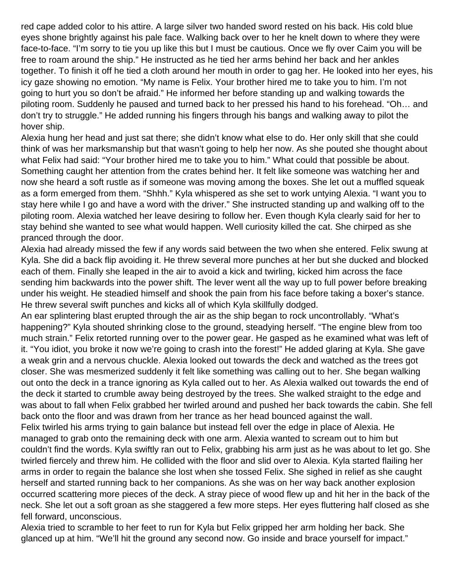red cape added color to his attire. A large silver two handed sword rested on his back. His cold blue eyes shone brightly against his pale face. Walking back over to her he knelt down to where they were face-to-face. "I'm sorry to tie you up like this but I must be cautious. Once we fly over Caim you will be free to roam around the ship." He instructed as he tied her arms behind her back and her ankles together. To finish it off he tied a cloth around her mouth in order to gag her. He looked into her eyes, his icy gaze showing no emotion. "My name is Felix. Your brother hired me to take you to him. I'm not going to hurt you so don't be afraid." He informed her before standing up and walking towards the piloting room. Suddenly he paused and turned back to her pressed his hand to his forehead. "Oh… and don't try to struggle." He added running his fingers through his bangs and walking away to pilot the hover ship.

Alexia hung her head and just sat there; she didn't know what else to do. Her only skill that she could think of was her marksmanship but that wasn't going to help her now. As she pouted she thought about what Felix had said: "Your brother hired me to take you to him." What could that possible be about. Something caught her attention from the crates behind her. It felt like someone was watching her and now she heard a soft rustle as if someone was moving among the boxes. She let out a muffled squeak as a form emerged from them. "Shhh." Kyla whispered as she set to work untying Alexia. "I want you to stay here while I go and have a word with the driver." She instructed standing up and walking off to the piloting room. Alexia watched her leave desiring to follow her. Even though Kyla clearly said for her to stay behind she wanted to see what would happen. Well curiosity killed the cat. She chirped as she pranced through the door.

Alexia had already missed the few if any words said between the two when she entered. Felix swung at Kyla. She did a back flip avoiding it. He threw several more punches at her but she ducked and blocked each of them. Finally she leaped in the air to avoid a kick and twirling, kicked him across the face sending him backwards into the power shift. The lever went all the way up to full power before breaking under his weight. He steadied himself and shook the pain from his face before taking a boxer's stance. He threw several swift punches and kicks all of which Kyla skillfully dodged.

An ear splintering blast erupted through the air as the ship began to rock uncontrollably. "What's happening?" Kyla shouted shrinking close to the ground, steadying herself. "The engine blew from too much strain." Felix retorted running over to the power gear. He gasped as he examined what was left of it. "You idiot, you broke it now we're going to crash into the forest!" He added glaring at Kyla. She gave a weak grin and a nervous chuckle. Alexia looked out towards the deck and watched as the trees got closer. She was mesmerized suddenly it felt like something was calling out to her. She began walking out onto the deck in a trance ignoring as Kyla called out to her. As Alexia walked out towards the end of the deck it started to crumble away being destroyed by the trees. She walked straight to the edge and was about to fall when Felix grabbed her twirled around and pushed her back towards the cabin. She fell back onto the floor and was drawn from her trance as her head bounced against the wall.

Felix twirled his arms trying to gain balance but instead fell over the edge in place of Alexia. He managed to grab onto the remaining deck with one arm. Alexia wanted to scream out to him but couldn't find the words. Kyla swiftly ran out to Felix, grabbing his arm just as he was about to let go. She twirled fiercely and threw him. He collided with the floor and slid over to Alexia. Kyla started flailing her arms in order to regain the balance she lost when she tossed Felix. She sighed in relief as she caught herself and started running back to her companions. As she was on her way back another explosion occurred scattering more pieces of the deck. A stray piece of wood flew up and hit her in the back of the neck. She let out a soft groan as she staggered a few more steps. Her eyes fluttering half closed as she fell forward, unconscious.

Alexia tried to scramble to her feet to run for Kyla but Felix gripped her arm holding her back. She glanced up at him. "We'll hit the ground any second now. Go inside and brace yourself for impact."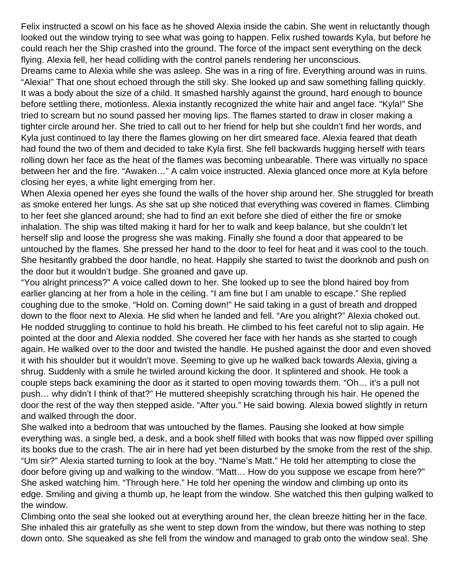Felix instructed a scowl on his face as he shoved Alexia inside the cabin. She went in reluctantly though looked out the window trying to see what was going to happen. Felix rushed towards Kyla, but before he could reach her the Ship crashed into the ground. The force of the impact sent everything on the deck flying. Alexia fell, her head colliding with the control panels rendering her unconscious.

Dreams came to Alexia while she was asleep. She was in a ring of fire. Everything around was in ruins. "Alexia!" That one shout echoed through the still sky. She looked up and saw something falling quickly. It was a body about the size of a child. It smashed harshly against the ground, hard enough to bounce before settling there, motionless. Alexia instantly recognized the white hair and angel face. "Kyla!" She tried to scream but no sound passed her moving lips. The flames started to draw in closer making a tighter circle around her. She tried to call out to her friend for help but she couldn't find her words, and Kyla just continued to lay there the flames glowing on her dirt smeared face. Alexia feared that death had found the two of them and decided to take Kyla first. She fell backwards hugging herself with tears rolling down her face as the heat of the flames was becoming unbearable. There was virtually no space between her and the fire. "Awaken…" A calm voice instructed. Alexia glanced once more at Kyla before closing her eyes, a white light emerging from her.

When Alexia opened her eyes she found the walls of the hover ship around her. She struggled for breath as smoke entered her lungs. As she sat up she noticed that everything was covered in flames. Climbing to her feet she glanced around; she had to find an exit before she died of either the fire or smoke inhalation. The ship was tilted making it hard for her to walk and keep balance, but she couldn't let herself slip and loose the progress she was making. Finally she found a door that appeared to be untouched by the flames. She pressed her hand to the door to feel for heat and it was cool to the touch. She hesitantly grabbed the door handle, no heat. Happily she started to twist the doorknob and push on the door but it wouldn't budge. She groaned and gave up.

"You alright princess?" A voice called down to her. She looked up to see the blond haired boy from earlier glancing at her from a hole in the ceiling. "I am fine but I am unable to escape." She replied coughing due to the smoke. "Hold on. Coming down!" He said taking in a gust of breath and dropped down to the floor next to Alexia. He slid when he landed and fell. "Are you alright?" Alexia choked out. He nodded struggling to continue to hold his breath. He climbed to his feet careful not to slip again. He pointed at the door and Alexia nodded. She covered her face with her hands as she started to cough again. He walked over to the door and twisted the handle. He pushed against the door and even shoved it with his shoulder but it wouldn't move. Seeming to give up he walked back towards Alexia, giving a shrug. Suddenly with a smile he twirled around kicking the door. It splintered and shook. He took a couple steps back examining the door as it started to open moving towards them. "Oh… it's a pull not push… why didn't I think of that?" He muttered sheepishly scratching through his hair. He opened the door the rest of the way then stepped aside. "After you." He said bowing. Alexia bowed slightly in return and walked through the door.

She walked into a bedroom that was untouched by the flames. Pausing she looked at how simple everything was, a single bed, a desk, and a book shelf filled with books that was now flipped over spilling its books due to the crash. The air in here had yet been disturbed by the smoke from the rest of the ship. "Um sir?" Alexia started turning to look at the boy. "Name's Matt." He told her attempting to close the door before giving up and walking to the window. "Matt… How do you suppose we escape from here?" She asked watching him. "Through here." He told her opening the window and climbing up onto its edge. Smiling and giving a thumb up, he leapt from the window. She watched this then gulping walked to the window.

Climbing onto the seal she looked out at everything around her, the clean breeze hitting her in the face. She inhaled this air gratefully as she went to step down from the window, but there was nothing to step down onto. She squeaked as she fell from the window and managed to grab onto the window seal. She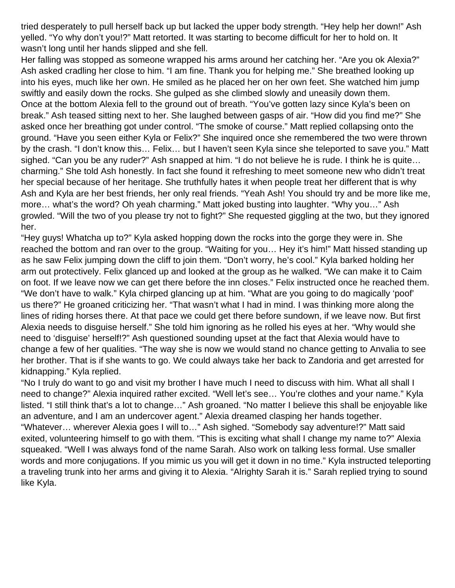tried desperately to pull herself back up but lacked the upper body strength. "Hey help her down!" Ash yelled. "Yo why don't you!?" Matt retorted. It was starting to become difficult for her to hold on. It wasn't long until her hands slipped and she fell.

Her falling was stopped as someone wrapped his arms around her catching her. "Are you ok Alexia?" Ash asked cradling her close to him. "I am fine. Thank you for helping me." She breathed looking up into his eyes, much like her own. He smiled as he placed her on her own feet. She watched him jump swiftly and easily down the rocks. She gulped as she climbed slowly and uneasily down them. Once at the bottom Alexia fell to the ground out of breath. "You've gotten lazy since Kyla's been on break." Ash teased sitting next to her. She laughed between gasps of air. "How did you find me?" She asked once her breathing got under control. "The smoke of course." Matt replied collapsing onto the ground. "Have you seen either Kyla or Felix?" She inquired once she remembered the two were thrown by the crash. "I don't know this… Felix… but I haven't seen Kyla since she teleported to save you." Matt sighed. "Can you be any ruder?" Ash snapped at him. "I do not believe he is rude. I think he is quite… charming." She told Ash honestly. In fact she found it refreshing to meet someone new who didn't treat her special because of her heritage. She truthfully hates it when people treat her different that is why Ash and Kyla are her best friends, her only real friends. "Yeah Ash! You should try and be more like me, more… what's the word? Oh yeah charming." Matt joked busting into laughter. "Why you…" Ash growled. "Will the two of you please try not to fight?" She requested giggling at the two, but they ignored her.

"Hey guys! Whatcha up to?" Kyla asked hopping down the rocks into the gorge they were in. She reached the bottom and ran over to the group. "Waiting for you… Hey it's him!" Matt hissed standing up as he saw Felix jumping down the cliff to join them. "Don't worry, he's cool." Kyla barked holding her arm out protectively. Felix glanced up and looked at the group as he walked. "We can make it to Caim on foot. If we leave now we can get there before the inn closes." Felix instructed once he reached them. "We don't have to walk." Kyla chirped glancing up at him. "What are you going to do magically 'poof' us there?" He groaned criticizing her. "That wasn't what I had in mind. I was thinking more along the lines of riding horses there. At that pace we could get there before sundown, if we leave now. But first Alexia needs to disguise herself." She told him ignoring as he rolled his eyes at her. "Why would she need to 'disguise' herself!?" Ash questioned sounding upset at the fact that Alexia would have to change a few of her qualities. "The way she is now we would stand no chance getting to Anvalia to see her brother. That is if she wants to go. We could always take her back to Zandoria and get arrested for kidnapping." Kyla replied.

"No I truly do want to go and visit my brother I have much I need to discuss with him. What all shall I need to change?" Alexia inquired rather excited. "Well let's see… You're clothes and your name." Kyla listed. "I still think that's a lot to change…" Ash groaned. "No matter I believe this shall be enjoyable like an adventure, and I am an undercover agent." Alexia dreamed clasping her hands together. "Whatever… wherever Alexia goes I will to…" Ash sighed. "Somebody say adventure!?" Matt said exited, volunteering himself to go with them. "This is exciting what shall I change my name to?" Alexia squeaked. "Well I was always fond of the name Sarah. Also work on talking less formal. Use smaller words and more conjugations. If you mimic us you will get it down in no time." Kyla instructed teleporting a traveling trunk into her arms and giving it to Alexia. "Alrighty Sarah it is." Sarah replied trying to sound like Kyla.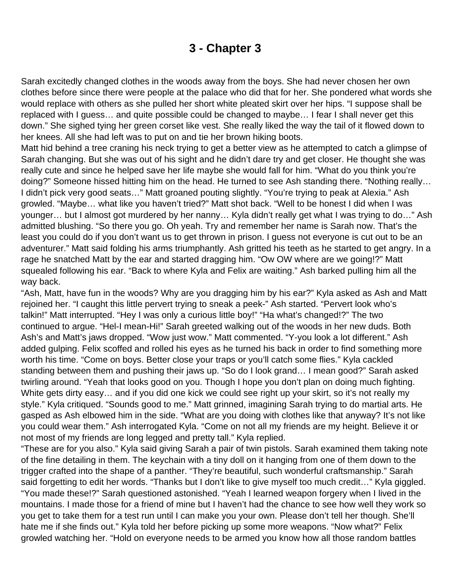### **3 - Chapter 3**

<span id="page-12-0"></span>Sarah excitedly changed clothes in the woods away from the boys. She had never chosen her own clothes before since there were people at the palace who did that for her. She pondered what words she would replace with others as she pulled her short white pleated skirt over her hips. "I suppose shall be replaced with I guess… and quite possible could be changed to maybe… I fear I shall never get this down." She sighed tying her green corset like vest. She really liked the way the tail of it flowed down to her knees. All she had left was to put on and tie her brown hiking boots.

Matt hid behind a tree craning his neck trying to get a better view as he attempted to catch a glimpse of Sarah changing. But she was out of his sight and he didn't dare try and get closer. He thought she was really cute and since he helped save her life maybe she would fall for him. "What do you think you're doing?" Someone hissed hitting him on the head. He turned to see Ash standing there. "Nothing really… I didn't pick very good seats…" Matt groaned pouting slightly. "You're trying to peak at Alexia." Ash growled. "Maybe… what like you haven't tried?" Matt shot back. "Well to be honest I did when I was younger… but I almost got murdered by her nanny… Kyla didn't really get what I was trying to do…" Ash admitted blushing. "So there you go. Oh yeah. Try and remember her name is Sarah now. That's the least you could do if you don't want us to get thrown in prison. I guess not everyone is cut out to be an adventurer." Matt said folding his arms triumphantly. Ash gritted his teeth as he started to get angry. In a rage he snatched Matt by the ear and started dragging him. "Ow OW where are we going!?" Matt squealed following his ear. "Back to where Kyla and Felix are waiting." Ash barked pulling him all the way back.

"Ash, Matt, have fun in the woods? Why are you dragging him by his ear?" Kyla asked as Ash and Matt rejoined her. "I caught this little pervert trying to sneak a peek-" Ash started. "Pervert look who's talkin!" Matt interrupted. "Hey I was only a curious little boy!" "Ha what's changed!?" The two continued to argue. "Hel-I mean-Hi!" Sarah greeted walking out of the woods in her new duds. Both Ash's and Matt's jaws dropped. "Wow just wow." Matt commented. "Y-you look a lot different." Ash added gulping. Felix scoffed and rolled his eyes as he turned his back in order to find something more worth his time. "Come on boys. Better close your traps or you'll catch some flies." Kyla cackled standing between them and pushing their jaws up. "So do I look grand… I mean good?" Sarah asked twirling around. "Yeah that looks good on you. Though I hope you don't plan on doing much fighting. White gets dirty easy... and if you did one kick we could see right up your skirt, so it's not really my style." Kyla critiqued. "Sounds good to me." Matt grinned, imagining Sarah trying to do martial arts. He gasped as Ash elbowed him in the side. "What are you doing with clothes like that anyway? It's not like you could wear them." Ash interrogated Kyla. "Come on not all my friends are my height. Believe it or not most of my friends are long legged and pretty tall." Kyla replied.

"These are for you also." Kyla said giving Sarah a pair of twin pistols. Sarah examined them taking note of the fine detailing in them. The keychain with a tiny doll on it hanging from one of them down to the trigger crafted into the shape of a panther. "They're beautiful, such wonderful craftsmanship." Sarah said forgetting to edit her words. "Thanks but I don't like to give myself too much credit…" Kyla giggled. "You made these!?" Sarah questioned astonished. "Yeah I learned weapon forgery when I lived in the mountains. I made those for a friend of mine but I haven't had the chance to see how well they work so you get to take them for a test run until I can make you your own. Please don't tell her though. She'll hate me if she finds out." Kyla told her before picking up some more weapons. "Now what?" Felix growled watching her. "Hold on everyone needs to be armed you know how all those random battles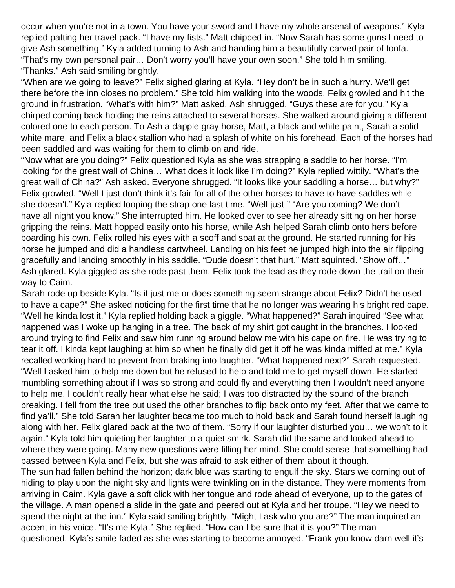occur when you're not in a town. You have your sword and I have my whole arsenal of weapons." Kyla replied patting her travel pack. "I have my fists." Matt chipped in. "Now Sarah has some guns I need to give Ash something." Kyla added turning to Ash and handing him a beautifully carved pair of tonfa. "That's my own personal pair… Don't worry you'll have your own soon." She told him smiling. "Thanks." Ash said smiling brightly.

"When are we going to leave?" Felix sighed glaring at Kyla. "Hey don't be in such a hurry. We'll get there before the inn closes no problem." She told him walking into the woods. Felix growled and hit the ground in frustration. "What's with him?" Matt asked. Ash shrugged. "Guys these are for you." Kyla chirped coming back holding the reins attached to several horses. She walked around giving a different colored one to each person. To Ash a dapple gray horse, Matt, a black and white paint, Sarah a solid white mare, and Felix a black stallion who had a splash of white on his forehead. Each of the horses had been saddled and was waiting for them to climb on and ride.

"Now what are you doing?" Felix questioned Kyla as she was strapping a saddle to her horse. "I'm looking for the great wall of China… What does it look like I'm doing?" Kyla replied wittily. "What's the great wall of China?" Ash asked. Everyone shrugged. "It looks like your saddling a horse… but why?" Felix growled. "Well I just don't think it's fair for all of the other horses to have to have saddles while she doesn't." Kyla replied looping the strap one last time. "Well just-" "Are you coming? We don't have all night you know." She interrupted him. He looked over to see her already sitting on her horse gripping the reins. Matt hopped easily onto his horse, while Ash helped Sarah climb onto hers before boarding his own. Felix rolled his eyes with a scoff and spat at the ground. He started running for his horse he jumped and did a handless cartwheel. Landing on his feet he jumped high into the air flipping gracefully and landing smoothly in his saddle. "Dude doesn't that hurt." Matt squinted. "Show off…" Ash glared. Kyla giggled as she rode past them. Felix took the lead as they rode down the trail on their way to Caim.

Sarah rode up beside Kyla. "Is it just me or does something seem strange about Felix? Didn't he used to have a cape?" She asked noticing for the first time that he no longer was wearing his bright red cape. "Well he kinda lost it." Kyla replied holding back a giggle. "What happened?" Sarah inquired "See what happened was I woke up hanging in a tree. The back of my shirt got caught in the branches. I looked around trying to find Felix and saw him running around below me with his cape on fire. He was trying to tear it off. I kinda kept laughing at him so when he finally did get it off he was kinda miffed at me." Kyla recalled working hard to prevent from braking into laughter. "What happened next?" Sarah requested. "Well I asked him to help me down but he refused to help and told me to get myself down. He started mumbling something about if I was so strong and could fly and everything then I wouldn't need anyone to help me. I couldn't really hear what else he said; I was too distracted by the sound of the branch breaking. I fell from the tree but used the other branches to flip back onto my feet. After that we came to find ya'll." She told Sarah her laughter became too much to hold back and Sarah found herself laughing along with her. Felix glared back at the two of them. "Sorry if our laughter disturbed you… we won't to it again." Kyla told him quieting her laughter to a quiet smirk. Sarah did the same and looked ahead to where they were going. Many new questions were filling her mind. She could sense that something had passed between Kyla and Felix, but she was afraid to ask either of them about it though.

The sun had fallen behind the horizon; dark blue was starting to engulf the sky. Stars we coming out of hiding to play upon the night sky and lights were twinkling on in the distance. They were moments from arriving in Caim. Kyla gave a soft click with her tongue and rode ahead of everyone, up to the gates of the village. A man opened a slide in the gate and peered out at Kyla and her troupe. "Hey we need to spend the night at the inn." Kyla said smiling brightly. "Might I ask who you are?" The man inquired an accent in his voice. "It's me Kyla." She replied. "How can I be sure that it is you?" The man questioned. Kyla's smile faded as she was starting to become annoyed. "Frank you know darn well it's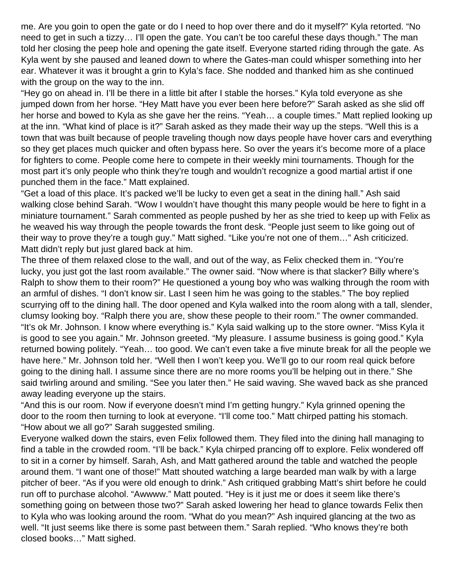me. Are you goin to open the gate or do I need to hop over there and do it myself?" Kyla retorted. "No need to get in such a tizzy… I'll open the gate. You can't be too careful these days though." The man told her closing the peep hole and opening the gate itself. Everyone started riding through the gate. As Kyla went by she paused and leaned down to where the Gates-man could whisper something into her ear. Whatever it was it brought a grin to Kyla's face. She nodded and thanked him as she continued with the group on the way to the inn.

"Hey go on ahead in. I'll be there in a little bit after I stable the horses." Kyla told everyone as she jumped down from her horse. "Hey Matt have you ever been here before?" Sarah asked as she slid off her horse and bowed to Kyla as she gave her the reins. "Yeah… a couple times." Matt replied looking up at the inn. "What kind of place is it?" Sarah asked as they made their way up the steps. "Well this is a town that was built because of people traveling though now days people have hover cars and everything so they get places much quicker and often bypass here. So over the years it's become more of a place for fighters to come. People come here to compete in their weekly mini tournaments. Though for the most part it's only people who think they're tough and wouldn't recognize a good martial artist if one punched them in the face." Matt explained.

"Get a load of this place. It's packed we'll be lucky to even get a seat in the dining hall." Ash said walking close behind Sarah. "Wow I wouldn't have thought this many people would be here to fight in a miniature tournament." Sarah commented as people pushed by her as she tried to keep up with Felix as he weaved his way through the people towards the front desk. "People just seem to like going out of their way to prove they're a tough guy." Matt sighed. "Like you're not one of them…" Ash criticized. Matt didn't reply but just glared back at him.

The three of them relaxed close to the wall, and out of the way, as Felix checked them in. "You're lucky, you just got the last room available." The owner said. "Now where is that slacker? Billy where's Ralph to show them to their room?" He questioned a young boy who was walking through the room with an armful of dishes. "I don't know sir. Last I seen him he was going to the stables." The boy replied scurrying off to the dining hall. The door opened and Kyla walked into the room along with a tall, slender, clumsy looking boy. "Ralph there you are, show these people to their room." The owner commanded. "It's ok Mr. Johnson. I know where everything is." Kyla said walking up to the store owner. "Miss Kyla it is good to see you again." Mr. Johnson greeted. "My pleasure. I assume business is going good." Kyla returned bowing politely. "Yeah… too good. We can't even take a five minute break for all the people we have here." Mr. Johnson told her. "Well then I won't keep you. We'll go to our room real quick before going to the dining hall. I assume since there are no more rooms you'll be helping out in there." She said twirling around and smiling. "See you later then." He said waving. She waved back as she pranced away leading everyone up the stairs.

"And this is our room. Now if everyone doesn't mind I'm getting hungry." Kyla grinned opening the door to the room then turning to look at everyone. "I'll come too." Matt chirped patting his stomach. "How about we all go?" Sarah suggested smiling.

Everyone walked down the stairs, even Felix followed them. They filed into the dining hall managing to find a table in the crowded room. "I'll be back." Kyla chirped prancing off to explore. Felix wondered off to sit in a corner by himself. Sarah, Ash, and Matt gathered around the table and watched the people around them. "I want one of those!" Matt shouted watching a large bearded man walk by with a large pitcher of beer. "As if you were old enough to drink." Ash critiqued grabbing Matt's shirt before he could run off to purchase alcohol. "Awwww." Matt pouted. "Hey is it just me or does it seem like there's something going on between those two?" Sarah asked lowering her head to glance towards Felix then to Kyla who was looking around the room. "What do you mean?" Ash inquired glancing at the two as well. "It just seems like there is some past between them." Sarah replied. "Who knows they're both closed books…" Matt sighed.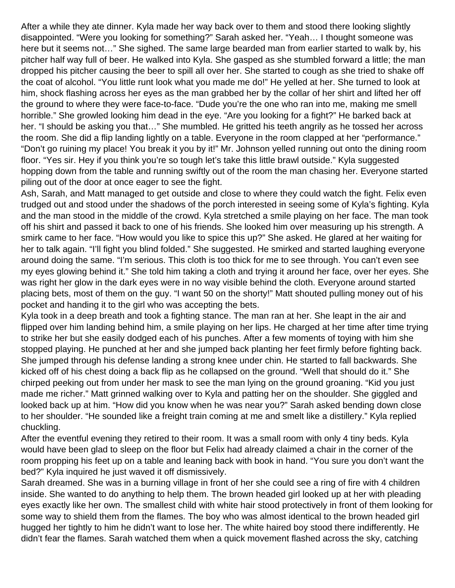After a while they ate dinner. Kyla made her way back over to them and stood there looking slightly disappointed. "Were you looking for something?" Sarah asked her. "Yeah… I thought someone was here but it seems not…" She sighed. The same large bearded man from earlier started to walk by, his pitcher half way full of beer. He walked into Kyla. She gasped as she stumbled forward a little; the man dropped his pitcher causing the beer to spill all over her. She started to cough as she tried to shake off the coat of alcohol. "You little runt look what you made me do!" He yelled at her. She turned to look at him, shock flashing across her eyes as the man grabbed her by the collar of her shirt and lifted her off the ground to where they were face-to-face. "Dude you're the one who ran into me, making me smell horrible." She growled looking him dead in the eye. "Are you looking for a fight?" He barked back at her. "I should be asking you that…" She mumbled. He gritted his teeth angrily as he tossed her across the room. She did a flip landing lightly on a table. Everyone in the room clapped at her "performance." "Don't go ruining my place! You break it you by it!" Mr. Johnson yelled running out onto the dining room floor. "Yes sir. Hey if you think you're so tough let's take this little brawl outside." Kyla suggested hopping down from the table and running swiftly out of the room the man chasing her. Everyone started piling out of the door at once eager to see the fight.

Ash, Sarah, and Matt managed to get outside and close to where they could watch the fight. Felix even trudged out and stood under the shadows of the porch interested in seeing some of Kyla's fighting. Kyla and the man stood in the middle of the crowd. Kyla stretched a smile playing on her face. The man took off his shirt and passed it back to one of his friends. She looked him over measuring up his strength. A smirk came to her face. "How would you like to spice this up?" She asked. He glared at her waiting for her to talk again. "I'll fight you blind folded." She suggested. He smirked and started laughing everyone around doing the same. "I'm serious. This cloth is too thick for me to see through. You can't even see my eyes glowing behind it." She told him taking a cloth and trying it around her face, over her eyes. She was right her glow in the dark eyes were in no way visible behind the cloth. Everyone around started placing bets, most of them on the guy. "I want 50 on the shorty!" Matt shouted pulling money out of his pocket and handing it to the girl who was accepting the bets.

Kyla took in a deep breath and took a fighting stance. The man ran at her. She leapt in the air and flipped over him landing behind him, a smile playing on her lips. He charged at her time after time trying to strike her but she easily dodged each of his punches. After a few moments of toying with him she stopped playing. He punched at her and she jumped back planting her feet firmly before fighting back. She jumped through his defense landing a strong knee under chin. He started to fall backwards. She kicked off of his chest doing a back flip as he collapsed on the ground. "Well that should do it." She chirped peeking out from under her mask to see the man lying on the ground groaning. "Kid you just made me richer." Matt grinned walking over to Kyla and patting her on the shoulder. She giggled and looked back up at him. "How did you know when he was near you?" Sarah asked bending down close to her shoulder. "He sounded like a freight train coming at me and smelt like a distillery." Kyla replied chuckling.

After the eventful evening they retired to their room. It was a small room with only 4 tiny beds. Kyla would have been glad to sleep on the floor but Felix had already claimed a chair in the corner of the room propping his feet up on a table and leaning back with book in hand. "You sure you don't want the bed?" Kyla inquired he just waved it off dismissively.

Sarah dreamed. She was in a burning village in front of her she could see a ring of fire with 4 children inside. She wanted to do anything to help them. The brown headed girl looked up at her with pleading eyes exactly like her own. The smallest child with white hair stood protectively in front of them looking for some way to shield them from the flames. The boy who was almost identical to the brown headed girl hugged her tightly to him he didn't want to lose her. The white haired boy stood there indifferently. He didn't fear the flames. Sarah watched them when a quick movement flashed across the sky, catching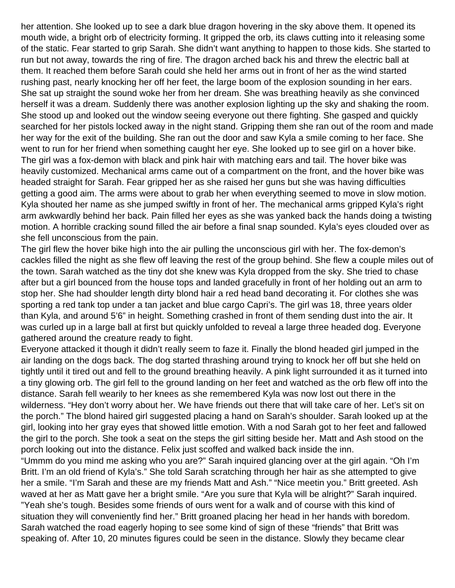her attention. She looked up to see a dark blue dragon hovering in the sky above them. It opened its mouth wide, a bright orb of electricity forming. It gripped the orb, its claws cutting into it releasing some of the static. Fear started to grip Sarah. She didn't want anything to happen to those kids. She started to run but not away, towards the ring of fire. The dragon arched back his and threw the electric ball at them. It reached them before Sarah could she held her arms out in front of her as the wind started rushing past, nearly knocking her off her feet, the large boom of the explosion sounding in her ears. She sat up straight the sound woke her from her dream. She was breathing heavily as she convinced herself it was a dream. Suddenly there was another explosion lighting up the sky and shaking the room. She stood up and looked out the window seeing everyone out there fighting. She gasped and quickly searched for her pistols locked away in the night stand. Gripping them she ran out of the room and made her way for the exit of the building. She ran out the door and saw Kyla a smile coming to her face. She went to run for her friend when something caught her eye. She looked up to see girl on a hover bike. The girl was a fox-demon with black and pink hair with matching ears and tail. The hover bike was heavily customized. Mechanical arms came out of a compartment on the front, and the hover bike was headed straight for Sarah. Fear gripped her as she raised her guns but she was having difficulties getting a good aim. The arms were about to grab her when everything seemed to move in slow motion. Kyla shouted her name as she jumped swiftly in front of her. The mechanical arms gripped Kyla's right arm awkwardly behind her back. Pain filled her eyes as she was yanked back the hands doing a twisting motion. A horrible cracking sound filled the air before a final snap sounded. Kyla's eyes clouded over as she fell unconscious from the pain.

The girl flew the hover bike high into the air pulling the unconscious girl with her. The fox-demon's cackles filled the night as she flew off leaving the rest of the group behind. She flew a couple miles out of the town. Sarah watched as the tiny dot she knew was Kyla dropped from the sky. She tried to chase after but a girl bounced from the house tops and landed gracefully in front of her holding out an arm to stop her. She had shoulder length dirty blond hair a red head band decorating it. For clothes she was sporting a red tank top under a tan jacket and blue cargo Capri's. The girl was 18, three years older than Kyla, and around 5'6" in height. Something crashed in front of them sending dust into the air. It was curled up in a large ball at first but quickly unfolded to reveal a large three headed dog. Everyone gathered around the creature ready to fight.

Everyone attacked it though it didn't really seem to faze it. Finally the blond headed girl jumped in the air landing on the dogs back. The dog started thrashing around trying to knock her off but she held on tightly until it tired out and fell to the ground breathing heavily. A pink light surrounded it as it turned into a tiny glowing orb. The girl fell to the ground landing on her feet and watched as the orb flew off into the distance. Sarah fell wearily to her knees as she remembered Kyla was now lost out there in the wilderness. "Hey don't worry about her. We have friends out there that will take care of her. Let's sit on the porch." The blond haired girl suggested placing a hand on Sarah's shoulder. Sarah looked up at the girl, looking into her gray eyes that showed little emotion. With a nod Sarah got to her feet and fallowed the girl to the porch. She took a seat on the steps the girl sitting beside her. Matt and Ash stood on the porch looking out into the distance. Felix just scoffed and walked back inside the inn.

"Ummm do you mind me asking who you are?" Sarah inquired glancing over at the girl again. "Oh I'm Britt. I'm an old friend of Kyla's." She told Sarah scratching through her hair as she attempted to give her a smile. "I'm Sarah and these are my friends Matt and Ash." "Nice meetin you." Britt greeted. Ash waved at her as Matt gave her a bright smile. "Are you sure that Kyla will be alright?" Sarah inquired. "Yeah she's tough. Besides some friends of ours went for a walk and of course with this kind of situation they will conveniently find her." Britt groaned placing her head in her hands with boredom. Sarah watched the road eagerly hoping to see some kind of sign of these "friends" that Britt was speaking of. After 10, 20 minutes figures could be seen in the distance. Slowly they became clear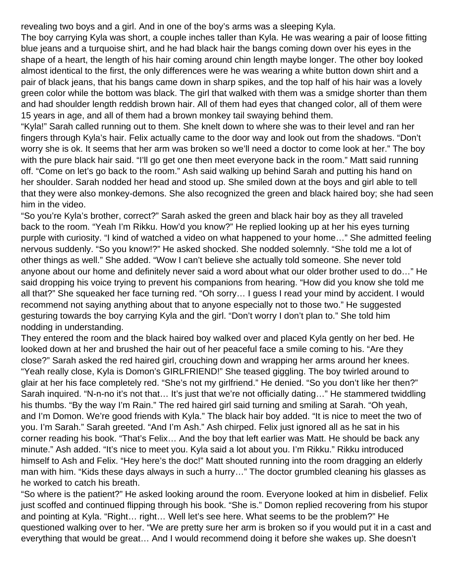revealing two boys and a girl. And in one of the boy's arms was a sleeping Kyla.

The boy carrying Kyla was short, a couple inches taller than Kyla. He was wearing a pair of loose fitting blue jeans and a turquoise shirt, and he had black hair the bangs coming down over his eyes in the shape of a heart, the length of his hair coming around chin length maybe longer. The other boy looked almost identical to the first, the only differences were he was wearing a white button down shirt and a pair of black jeans, that his bangs came down in sharp spikes, and the top half of his hair was a lovely green color while the bottom was black. The girl that walked with them was a smidge shorter than them and had shoulder length reddish brown hair. All of them had eyes that changed color, all of them were 15 years in age, and all of them had a brown monkey tail swaying behind them.

"Kyla!" Sarah called running out to them. She knelt down to where she was to their level and ran her fingers through Kyla's hair. Felix actually came to the door way and look out from the shadows. "Don't worry she is ok. It seems that her arm was broken so we'll need a doctor to come look at her." The boy with the pure black hair said. "I'll go get one then meet everyone back in the room." Matt said running off. "Come on let's go back to the room." Ash said walking up behind Sarah and putting his hand on her shoulder. Sarah nodded her head and stood up. She smiled down at the boys and girl able to tell that they were also monkey-demons. She also recognized the green and black haired boy; she had seen him in the video.

"So you're Kyla's brother, correct?" Sarah asked the green and black hair boy as they all traveled back to the room. "Yeah I'm Rikku. How'd you know?" He replied looking up at her his eyes turning purple with curiosity. "I kind of watched a video on what happened to your home…" She admitted feeling nervous suddenly. "So you know!?" He asked shocked. She nodded solemnly. "She told me a lot of other things as well." She added. "Wow I can't believe she actually told someone. She never told anyone about our home and definitely never said a word about what our older brother used to do…" He said dropping his voice trying to prevent his companions from hearing. "How did you know she told me all that?" She squeaked her face turning red. "Oh sorry… I guess I read your mind by accident. I would recommend not saying anything about that to anyone especially not to those two." He suggested gesturing towards the boy carrying Kyla and the girl. "Don't worry I don't plan to." She told him nodding in understanding.

They entered the room and the black haired boy walked over and placed Kyla gently on her bed. He looked down at her and brushed the hair out of her peaceful face a smile coming to his. "Are they close?" Sarah asked the red haired girl, crouching down and wrapping her arms around her knees. "Yeah really close, Kyla is Domon's GIRLFRIEND!" She teased giggling. The boy twirled around to glair at her his face completely red. "She's not my girlfriend." He denied. "So you don't like her then?" Sarah inquired. "N-n-no it's not that… It's just that we're not officially dating…" He stammered twiddling his thumbs. "By the way I'm Rain." The red haired girl said turning and smiling at Sarah. "Oh yeah, and I'm Domon. We're good friends with Kyla." The black hair boy added. "It is nice to meet the two of you. I'm Sarah." Sarah greeted. "And I'm Ash." Ash chirped. Felix just ignored all as he sat in his corner reading his book. "That's Felix… And the boy that left earlier was Matt. He should be back any minute." Ash added. "It's nice to meet you. Kyla said a lot about you. I'm Rikku." Rikku introduced himself to Ash and Felix. "Hey here's the doc!" Matt shouted running into the room dragging an elderly man with him. "Kids these days always in such a hurry…" The doctor grumbled cleaning his glasses as he worked to catch his breath.

"So where is the patient?" He asked looking around the room. Everyone looked at him in disbelief. Felix just scoffed and continued flipping through his book. "She is." Domon replied recovering from his stupor and pointing at Kyla. "Right… right… Well let's see here. What seems to be the problem?" He questioned walking over to her. "We are pretty sure her arm is broken so if you would put it in a cast and everything that would be great… And I would recommend doing it before she wakes up. She doesn't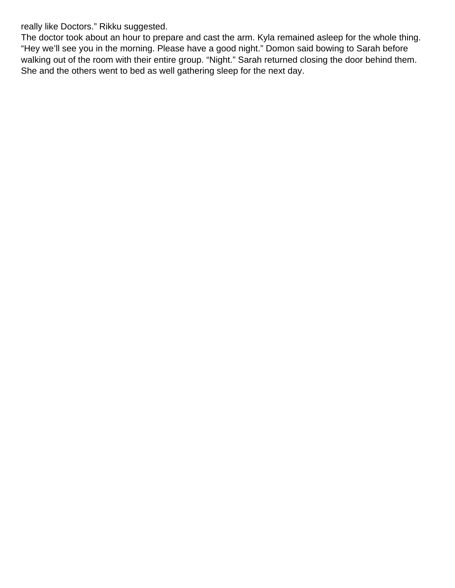really like Doctors." Rikku suggested.

The doctor took about an hour to prepare and cast the arm. Kyla remained asleep for the whole thing. "Hey we'll see you in the morning. Please have a good night." Domon said bowing to Sarah before walking out of the room with their entire group. "Night." Sarah returned closing the door behind them. She and the others went to bed as well gathering sleep for the next day.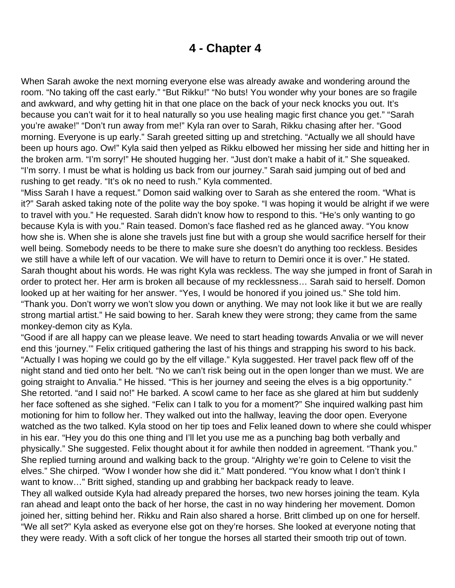### **4 - Chapter 4**

<span id="page-19-0"></span>When Sarah awoke the next morning everyone else was already awake and wondering around the room. "No taking off the cast early." "But Rikku!" "No buts! You wonder why your bones are so fragile and awkward, and why getting hit in that one place on the back of your neck knocks you out. It's because you can't wait for it to heal naturally so you use healing magic first chance you get." "Sarah you're awake!" "Don't run away from me!" Kyla ran over to Sarah, Rikku chasing after her. "Good morning. Everyone is up early." Sarah greeted sitting up and stretching. "Actually we all should have been up hours ago. Ow!" Kyla said then yelped as Rikku elbowed her missing her side and hitting her in the broken arm. "I'm sorry!" He shouted hugging her. "Just don't make a habit of it." She squeaked. "I'm sorry. I must be what is holding us back from our journey." Sarah said jumping out of bed and rushing to get ready. "It's ok no need to rush." Kyla commented.

"Miss Sarah I have a request." Domon said walking over to Sarah as she entered the room. "What is it?" Sarah asked taking note of the polite way the boy spoke. "I was hoping it would be alright if we were to travel with you." He requested. Sarah didn't know how to respond to this. "He's only wanting to go because Kyla is with you." Rain teased. Domon's face flashed red as he glanced away. "You know how she is. When she is alone she travels just fine but with a group she would sacrifice herself for their well being. Somebody needs to be there to make sure she doesn't do anything too reckless. Besides we still have a while left of our vacation. We will have to return to Demiri once it is over." He stated. Sarah thought about his words. He was right Kyla was reckless. The way she jumped in front of Sarah in order to protect her. Her arm is broken all because of my recklessness… Sarah said to herself. Domon looked up at her waiting for her answer. "Yes, I would be honored if you joined us." She told him. "Thank you. Don't worry we won't slow you down or anything. We may not look like it but we are really strong martial artist." He said bowing to her. Sarah knew they were strong; they came from the same monkey-demon city as Kyla.

"Good if are all happy can we please leave. We need to start heading towards Anvalia or we will never end this 'journey.'" Felix critiqued gathering the last of his things and strapping his sword to his back. "Actually I was hoping we could go by the elf village." Kyla suggested. Her travel pack flew off of the night stand and tied onto her belt. "No we can't risk being out in the open longer than we must. We are going straight to Anvalia." He hissed. "This is her journey and seeing the elves is a big opportunity." She retorted. "and I said no!" He barked. A scowl came to her face as she glared at him but suddenly her face softened as she sighed. "Felix can I talk to you for a moment?" She inquired walking past him motioning for him to follow her. They walked out into the hallway, leaving the door open. Everyone watched as the two talked. Kyla stood on her tip toes and Felix leaned down to where she could whisper in his ear. "Hey you do this one thing and I'll let you use me as a punching bag both verbally and physically." She suggested. Felix thought about it for awhile then nodded in agreement. "Thank you." She replied turning around and walking back to the group. "Alrighty we're goin to Celene to visit the elves." She chirped. "Wow I wonder how she did it." Matt pondered. "You know what I don't think I want to know…" Britt sighed, standing up and grabbing her backpack ready to leave.

They all walked outside Kyla had already prepared the horses, two new horses joining the team. Kyla ran ahead and leapt onto the back of her horse, the cast in no way hindering her movement. Domon joined her, sitting behind her. Rikku and Rain also shared a horse. Britt climbed up on one for herself. "We all set?" Kyla asked as everyone else got on they're horses. She looked at everyone noting that they were ready. With a soft click of her tongue the horses all started their smooth trip out of town.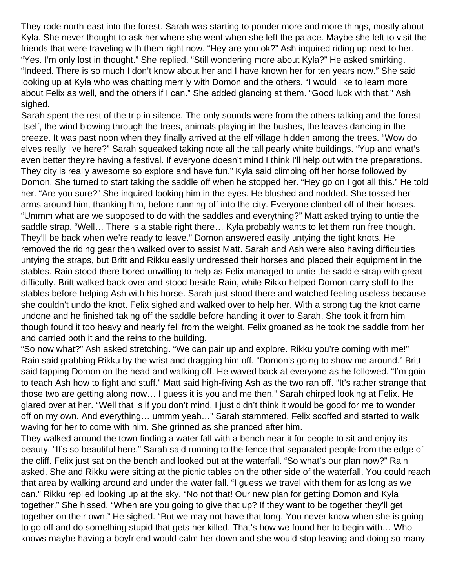They rode north-east into the forest. Sarah was starting to ponder more and more things, mostly about Kyla. She never thought to ask her where she went when she left the palace. Maybe she left to visit the friends that were traveling with them right now. "Hey are you ok?" Ash inquired riding up next to her. "Yes. I'm only lost in thought." She replied. "Still wondering more about Kyla?" He asked smirking. "Indeed. There is so much I don't know about her and I have known her for ten years now." She said looking up at Kyla who was chatting merrily with Domon and the others. "I would like to learn more about Felix as well, and the others if I can." She added glancing at them. "Good luck with that." Ash sighed.

Sarah spent the rest of the trip in silence. The only sounds were from the others talking and the forest itself, the wind blowing through the trees, animals playing in the bushes, the leaves dancing in the breeze. It was past noon when they finally arrived at the elf village hidden among the trees. "Wow do elves really live here?" Sarah squeaked taking note all the tall pearly white buildings. "Yup and what's even better they're having a festival. If everyone doesn't mind I think I'll help out with the preparations. They city is really awesome so explore and have fun." Kyla said climbing off her horse followed by Domon. She turned to start taking the saddle off when he stopped her. "Hey go on I got all this." He told her. "Are you sure?" She inquired looking him in the eyes. He blushed and nodded. She tossed her arms around him, thanking him, before running off into the city. Everyone climbed off of their horses. "Ummm what are we supposed to do with the saddles and everything?" Matt asked trying to untie the saddle strap. "Well… There is a stable right there… Kyla probably wants to let them run free though. They'll be back when we're ready to leave." Domon answered easily untying the tight knots. He removed the riding gear then walked over to assist Matt. Sarah and Ash were also having difficulties untying the straps, but Britt and Rikku easily undressed their horses and placed their equipment in the stables. Rain stood there bored unwilling to help as Felix managed to untie the saddle strap with great difficulty. Britt walked back over and stood beside Rain, while Rikku helped Domon carry stuff to the stables before helping Ash with his horse. Sarah just stood there and watched feeling useless because she couldn't undo the knot. Felix sighed and walked over to help her. With a strong tug the knot came undone and he finished taking off the saddle before handing it over to Sarah. She took it from him though found it too heavy and nearly fell from the weight. Felix groaned as he took the saddle from her and carried both it and the reins to the building.

"So now what?" Ash asked stretching. "We can pair up and explore. Rikku you're coming with me!" Rain said grabbing Rikku by the wrist and dragging him off. "Domon's going to show me around." Britt said tapping Domon on the head and walking off. He waved back at everyone as he followed. "I'm goin to teach Ash how to fight and stuff." Matt said high-fiving Ash as the two ran off. "It's rather strange that those two are getting along now… I guess it is you and me then." Sarah chirped looking at Felix. He glared over at her. "Well that is if you don't mind. I just didn't think it would be good for me to wonder off on my own. And everything… ummm yeah…" Sarah stammered. Felix scoffed and started to walk waving for her to come with him. She grinned as she pranced after him.

They walked around the town finding a water fall with a bench near it for people to sit and enjoy its beauty. "It's so beautiful here." Sarah said running to the fence that separated people from the edge of the cliff. Felix just sat on the bench and looked out at the waterfall. "So what's our plan now?" Rain asked. She and Rikku were sitting at the picnic tables on the other side of the waterfall. You could reach that area by walking around and under the water fall. "I guess we travel with them for as long as we can." Rikku replied looking up at the sky. "No not that! Our new plan for getting Domon and Kyla together." She hissed. "When are you going to give that up? If they want to be together they'll get together on their own." He sighed. "But we may not have that long. You never know when she is going to go off and do something stupid that gets her killed. That's how we found her to begin with… Who knows maybe having a boyfriend would calm her down and she would stop leaving and doing so many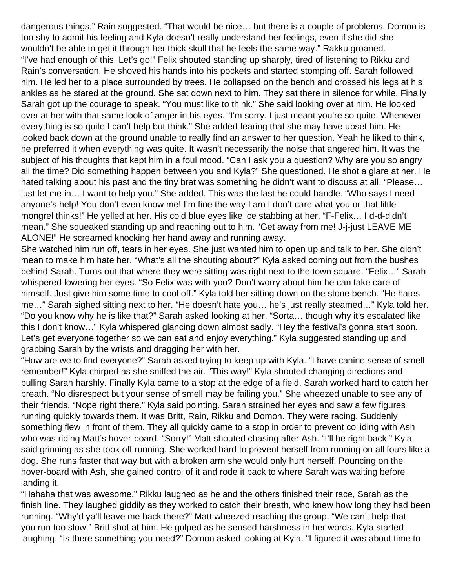dangerous things." Rain suggested. "That would be nice… but there is a couple of problems. Domon is too shy to admit his feeling and Kyla doesn't really understand her feelings, even if she did she wouldn't be able to get it through her thick skull that he feels the same way." Rakku groaned. "I've had enough of this. Let's go!" Felix shouted standing up sharply, tired of listening to Rikku and Rain's conversation. He shoved his hands into his pockets and started stomping off. Sarah followed him. He led her to a place surrounded by trees. He collapsed on the bench and crossed his legs at his ankles as he stared at the ground. She sat down next to him. They sat there in silence for while. Finally Sarah got up the courage to speak. "You must like to think." She said looking over at him. He looked over at her with that same look of anger in his eyes. "I'm sorry. I just meant you're so quite. Whenever everything is so quite I can't help but think." She added fearing that she may have upset him. He looked back down at the ground unable to really find an answer to her question. Yeah he liked to think, he preferred it when everything was quite. It wasn't necessarily the noise that angered him. It was the subject of his thoughts that kept him in a foul mood. "Can I ask you a question? Why are you so angry all the time? Did something happen between you and Kyla?" She questioned. He shot a glare at her. He hated talking about his past and the tiny brat was something he didn't want to discuss at all. "Please… just let me in… I want to help you." She added. This was the last he could handle. "Who says I need anyone's help! You don't even know me! I'm fine the way I am I don't care what you or that little mongrel thinks!" He yelled at her. His cold blue eyes like ice stabbing at her. "F-Felix… I d-d-didn't mean." She squeaked standing up and reaching out to him. "Get away from me! J-j-just LEAVE ME ALONE!" He screamed knocking her hand away and running away.

She watched him run off, tears in her eyes. She just wanted him to open up and talk to her. She didn't mean to make him hate her. "What's all the shouting about?" Kyla asked coming out from the bushes behind Sarah. Turns out that where they were sitting was right next to the town square. "Felix…" Sarah whispered lowering her eyes. "So Felix was with you? Don't worry about him he can take care of himself. Just give him some time to cool off." Kyla told her sitting down on the stone bench. "He hates me…" Sarah sighed sitting next to her. "He doesn't hate you… he's just really steamed…" Kyla told her. "Do you know why he is like that?" Sarah asked looking at her. "Sorta… though why it's escalated like this I don't know…" Kyla whispered glancing down almost sadly. "Hey the festival's gonna start soon. Let's get everyone together so we can eat and enjoy everything." Kyla suggested standing up and grabbing Sarah by the wrists and dragging her with her.

"How are we to find everyone?" Sarah asked trying to keep up with Kyla. "I have canine sense of smell remember!" Kyla chirped as she sniffed the air. "This way!" Kyla shouted changing directions and pulling Sarah harshly. Finally Kyla came to a stop at the edge of a field. Sarah worked hard to catch her breath. "No disrespect but your sense of smell may be failing you." She wheezed unable to see any of their friends. "Nope right there." Kyla said pointing. Sarah strained her eyes and saw a few figures running quickly towards them. It was Britt, Rain, Rikku and Domon. They were racing. Suddenly something flew in front of them. They all quickly came to a stop in order to prevent colliding with Ash who was riding Matt's hover-board. "Sorry!" Matt shouted chasing after Ash. "I'll be right back." Kyla said grinning as she took off running. She worked hard to prevent herself from running on all fours like a dog. She runs faster that way but with a broken arm she would only hurt herself. Pouncing on the hover-board with Ash, she gained control of it and rode it back to where Sarah was waiting before landing it.

"Hahaha that was awesome." Rikku laughed as he and the others finished their race, Sarah as the finish line. They laughed giddily as they worked to catch their breath, who knew how long they had been running. "Why'd ya'll leave me back there?" Matt wheezed reaching the group. "We can't help that you run too slow." Britt shot at him. He gulped as he sensed harshness in her words. Kyla started laughing. "Is there something you need?" Domon asked looking at Kyla. "I figured it was about time to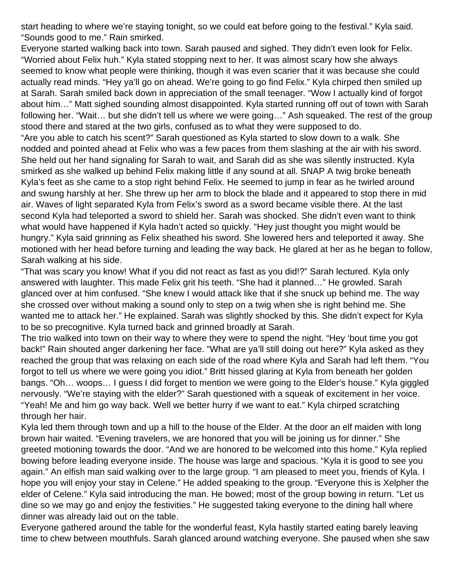start heading to where we're staying tonight, so we could eat before going to the festival." Kyla said. "Sounds good to me." Rain smirked.

Everyone started walking back into town. Sarah paused and sighed. They didn't even look for Felix. "Worried about Felix huh." Kyla stated stopping next to her. It was almost scary how she always seemed to know what people were thinking, though it was even scarier that it was because she could actually read minds. "Hey ya'll go on ahead. We're going to go find Felix." Kyla chirped then smiled up at Sarah. Sarah smiled back down in appreciation of the small teenager. "Wow I actually kind of forgot about him…" Matt sighed sounding almost disappointed. Kyla started running off out of town with Sarah following her. "Wait… but she didn't tell us where we were going…" Ash squeaked. The rest of the group stood there and stared at the two girls, confused as to what they were supposed to do. "Are you able to catch his scent?" Sarah questioned as Kyla started to slow down to a walk. She nodded and pointed ahead at Felix who was a few paces from them slashing at the air with his sword. She held out her hand signaling for Sarah to wait, and Sarah did as she was silently instructed. Kyla smirked as she walked up behind Felix making little if any sound at all. SNAP A twig broke beneath Kyla's feet as she came to a stop right behind Felix. He seemed to jump in fear as he twirled around and swung harshly at her. She threw up her arm to block the blade and it appeared to stop there in mid air. Waves of light separated Kyla from Felix's sword as a sword became visible there. At the last second Kyla had teleported a sword to shield her. Sarah was shocked. She didn't even want to think

what would have happened if Kyla hadn't acted so quickly. "Hey just thought you might would be hungry." Kyla said grinning as Felix sheathed his sword. She lowered hers and teleported it away. She motioned with her head before turning and leading the way back. He glared at her as he began to follow, Sarah walking at his side.

"That was scary you know! What if you did not react as fast as you did!?" Sarah lectured. Kyla only answered with laughter. This made Felix grit his teeth. "She had it planned…" He growled. Sarah glanced over at him confused. "She knew I would attack like that if she snuck up behind me. The way she crossed over without making a sound only to step on a twig when she is right behind me. She wanted me to attack her." He explained. Sarah was slightly shocked by this. She didn't expect for Kyla to be so precognitive. Kyla turned back and grinned broadly at Sarah.

The trio walked into town on their way to where they were to spend the night. "Hey 'bout time you got back!" Rain shouted anger darkening her face. "What are ya'll still doing out here?" Kyla asked as they reached the group that was relaxing on each side of the road where Kyla and Sarah had left them. "You forgot to tell us where we were going you idiot." Britt hissed glaring at Kyla from beneath her golden bangs. "Oh… woops… I guess I did forget to mention we were going to the Elder's house." Kyla giggled nervously. "We're staying with the elder?" Sarah questioned with a squeak of excitement in her voice. "Yeah! Me and him go way back. Well we better hurry if we want to eat." Kyla chirped scratching through her hair.

Kyla led them through town and up a hill to the house of the Elder. At the door an elf maiden with long brown hair waited. "Evening travelers, we are honored that you will be joining us for dinner." She greeted motioning towards the door. "And we are honored to be welcomed into this home." Kyla replied bowing before leading everyone inside. The house was large and spacious. "Kyla it is good to see you again." An elfish man said walking over to the large group. "I am pleased to meet you, friends of Kyla. I hope you will enjoy your stay in Celene." He added speaking to the group. "Everyone this is Xelpher the elder of Celene." Kyla said introducing the man. He bowed; most of the group bowing in return. "Let us dine so we may go and enjoy the festivities." He suggested taking everyone to the dining hall where dinner was already laid out on the table.

Everyone gathered around the table for the wonderful feast, Kyla hastily started eating barely leaving time to chew between mouthfuls. Sarah glanced around watching everyone. She paused when she saw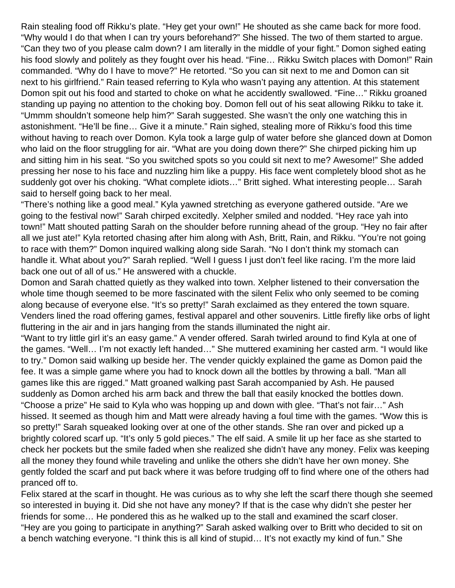Rain stealing food off Rikku's plate. "Hey get your own!" He shouted as she came back for more food. "Why would I do that when I can try yours beforehand?" She hissed. The two of them started to argue. "Can they two of you please calm down? I am literally in the middle of your fight." Domon sighed eating his food slowly and politely as they fought over his head. "Fine… Rikku Switch places with Domon!" Rain commanded. "Why do I have to move?" He retorted. "So you can sit next to me and Domon can sit next to his girlfriend." Rain teased referring to Kyla who wasn't paying any attention. At this statement Domon spit out his food and started to choke on what he accidently swallowed. "Fine…" Rikku groaned standing up paying no attention to the choking boy. Domon fell out of his seat allowing Rikku to take it. "Ummm shouldn't someone help him?" Sarah suggested. She wasn't the only one watching this in astonishment. "He'll be fine… Give it a minute." Rain sighed, stealing more of Rikku's food this time without having to reach over Domon. Kyla took a large gulp of water before she glanced down at Domon who laid on the floor struggling for air. "What are you doing down there?" She chirped picking him up and sitting him in his seat. "So you switched spots so you could sit next to me? Awesome!" She added pressing her nose to his face and nuzzling him like a puppy. His face went completely blood shot as he suddenly got over his choking. "What complete idiots…" Britt sighed. What interesting people… Sarah said to herself going back to her meal.

"There's nothing like a good meal." Kyla yawned stretching as everyone gathered outside. "Are we going to the festival now!" Sarah chirped excitedly. Xelpher smiled and nodded. "Hey race yah into town!" Matt shouted patting Sarah on the shoulder before running ahead of the group. "Hey no fair after all we just ate!" Kyla retorted chasing after him along with Ash, Britt, Rain, and Rikku. "You're not going to race with them?" Domon inquired walking along side Sarah. "No I don't think my stomach can handle it. What about you?" Sarah replied. "Well I guess I just don't feel like racing. I'm the more laid back one out of all of us." He answered with a chuckle.

Domon and Sarah chatted quietly as they walked into town. Xelpher listened to their conversation the whole time though seemed to be more fascinated with the silent Felix who only seemed to be coming along because of everyone else. "It's so pretty!" Sarah exclaimed as they entered the town square. Venders lined the road offering games, festival apparel and other souvenirs. Little firefly like orbs of light fluttering in the air and in jars hanging from the stands illuminated the night air.

"Want to try little girl it's an easy game." A vender offered. Sarah twirled around to find Kyla at one of the games. "Well… I'm not exactly left handed…" She muttered examining her casted arm. "I would like to try." Domon said walking up beside her. The vender quickly explained the game as Domon paid the fee. It was a simple game where you had to knock down all the bottles by throwing a ball. "Man all games like this are rigged." Matt groaned walking past Sarah accompanied by Ash. He paused suddenly as Domon arched his arm back and threw the ball that easily knocked the bottles down. "Choose a prize" He said to Kyla who was hopping up and down with glee. "That's not fair…" Ash hissed. It seemed as though him and Matt were already having a foul time with the games. "Wow this is so pretty!" Sarah squeaked looking over at one of the other stands. She ran over and picked up a brightly colored scarf up. "It's only 5 gold pieces." The elf said. A smile lit up her face as she started to check her pockets but the smile faded when she realized she didn't have any money. Felix was keeping all the money they found while traveling and unlike the others she didn't have her own money. She gently folded the scarf and put back where it was before trudging off to find where one of the others had pranced off to.

Felix stared at the scarf in thought. He was curious as to why she left the scarf there though she seemed so interested in buying it. Did she not have any money? If that is the case why didn't she pester her friends for some… He pondered this as he walked up to the stall and examined the scarf closer. "Hey are you going to participate in anything?" Sarah asked walking over to Britt who decided to sit on a bench watching everyone. "I think this is all kind of stupid… It's not exactly my kind of fun." She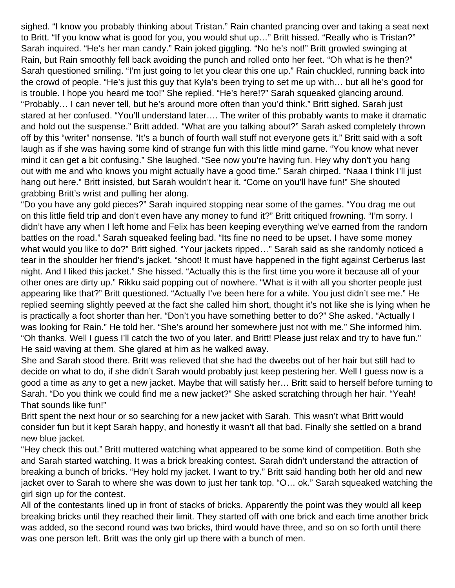sighed. "I know you probably thinking about Tristan." Rain chanted prancing over and taking a seat next to Britt. "If you know what is good for you, you would shut up…" Britt hissed. "Really who is Tristan?" Sarah inquired. "He's her man candy." Rain joked giggling. "No he's not!" Britt growled swinging at Rain, but Rain smoothly fell back avoiding the punch and rolled onto her feet. "Oh what is he then?" Sarah questioned smiling. "I'm just going to let you clear this one up." Rain chuckled, running back into the crowd of people. "He's just this guy that Kyla's been trying to set me up with… but all he's good for is trouble. I hope you heard me too!" She replied. "He's here!?" Sarah squeaked glancing around. "Probably… I can never tell, but he's around more often than you'd think." Britt sighed. Sarah just stared at her confused. "You'll understand later…. The writer of this probably wants to make it dramatic and hold out the suspense." Britt added. "What are you talking about?" Sarah asked completely thrown off by this "writer" nonsense. "It's a bunch of fourth wall stuff not everyone gets it." Britt said with a soft laugh as if she was having some kind of strange fun with this little mind game. "You know what never mind it can get a bit confusing." She laughed. "See now you're having fun. Hey why don't you hang out with me and who knows you might actually have a good time." Sarah chirped. "Naaa I think I'll just hang out here." Britt insisted, but Sarah wouldn't hear it. "Come on you'll have fun!" She shouted grabbing Britt's wrist and pulling her along.

"Do you have any gold pieces?" Sarah inquired stopping near some of the games. "You drag me out on this little field trip and don't even have any money to fund it?" Britt critiqued frowning. "I'm sorry. I didn't have any when I left home and Felix has been keeping everything we've earned from the random battles on the road." Sarah squeaked feeling bad. "Its fine no need to be upset. I have some money what would you like to do?" Britt sighed. "Your jackets ripped…" Sarah said as she randomly noticed a tear in the shoulder her friend's jacket. "shoot! It must have happened in the fight against Cerberus last night. And I liked this jacket." She hissed. "Actually this is the first time you wore it because all of your other ones are dirty up." Rikku said popping out of nowhere. "What is it with all you shorter people just appearing like that?" Britt questioned. "Actually I've been here for a while. You just didn't see me." He replied seeming slightly peeved at the fact she called him short, thought it's not like she is lying when he is practically a foot shorter than her. "Don't you have something better to do?" She asked. "Actually I was looking for Rain." He told her. "She's around her somewhere just not with me." She informed him. "Oh thanks. Well I guess I'll catch the two of you later, and Britt! Please just relax and try to have fun." He said waving at them. She glared at him as he walked away.

She and Sarah stood there. Britt was relieved that she had the dweebs out of her hair but still had to decide on what to do, if she didn't Sarah would probably just keep pestering her. Well I guess now is a good a time as any to get a new jacket. Maybe that will satisfy her… Britt said to herself before turning to Sarah. "Do you think we could find me a new jacket?" She asked scratching through her hair. "Yeah! That sounds like fun!"

Britt spent the next hour or so searching for a new jacket with Sarah. This wasn't what Britt would consider fun but it kept Sarah happy, and honestly it wasn't all that bad. Finally she settled on a brand new blue jacket.

"Hey check this out." Britt muttered watching what appeared to be some kind of competition. Both she and Sarah started watching. It was a brick breaking contest. Sarah didn't understand the attraction of breaking a bunch of bricks. "Hey hold my jacket. I want to try." Britt said handing both her old and new jacket over to Sarah to where she was down to just her tank top. "O… ok." Sarah squeaked watching the girl sign up for the contest.

All of the contestants lined up in front of stacks of bricks. Apparently the point was they would all keep breaking bricks until they reached their limit. They started off with one brick and each time another brick was added, so the second round was two bricks, third would have three, and so on so forth until there was one person left. Britt was the only girl up there with a bunch of men.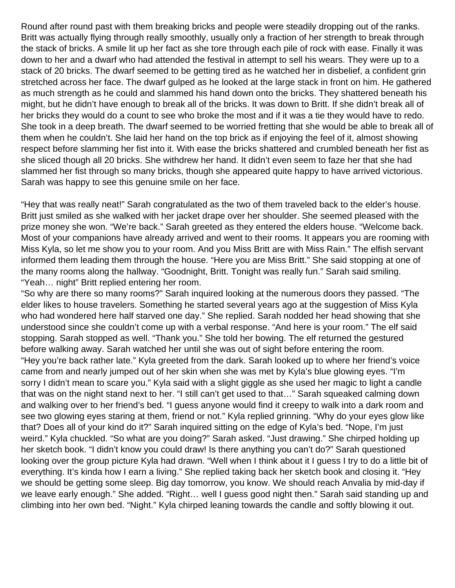Round after round past with them breaking bricks and people were steadily dropping out of the ranks. Britt was actually flying through really smoothly, usually only a fraction of her strength to break through the stack of bricks. A smile lit up her fact as she tore through each pile of rock with ease. Finally it was down to her and a dwarf who had attended the festival in attempt to sell his wears. They were up to a stack of 20 bricks. The dwarf seemed to be getting tired as he watched her in disbelief, a confident grin stretched across her face. The dwarf gulped as he looked at the large stack in front on him. He gathered as much strength as he could and slammed his hand down onto the bricks. They shattered beneath his might, but he didn't have enough to break all of the bricks. It was down to Britt. If she didn't break all of her bricks they would do a count to see who broke the most and if it was a tie they would have to redo. She took in a deep breath. The dwarf seemed to be worried fretting that she would be able to break all of them when he couldn't. She laid her hand on the top brick as if enjoying the feel of it, almost showing respect before slamming her fist into it. With ease the bricks shattered and crumbled beneath her fist as she sliced though all 20 bricks. She withdrew her hand. It didn't even seem to faze her that she had slammed her fist through so many bricks, though she appeared quite happy to have arrived victorious. Sarah was happy to see this genuine smile on her face.

"Hey that was really neat!" Sarah congratulated as the two of them traveled back to the elder's house. Britt just smiled as she walked with her jacket drape over her shoulder. She seemed pleased with the prize money she won. "We're back." Sarah greeted as they entered the elders house. "Welcome back. Most of your companions have already arrived and went to their rooms. It appears you are rooming with Miss Kyla, so let me show you to your room. And you Miss Britt are with Miss Rain." The elfish servant informed them leading them through the house. "Here you are Miss Britt." She said stopping at one of the many rooms along the hallway. "Goodnight, Britt. Tonight was really fun." Sarah said smiling. "Yeah… night" Britt replied entering her room.

"So why are there so many rooms?" Sarah inquired looking at the numerous doors they passed. "The elder likes to house travelers. Something he started several years ago at the suggestion of Miss Kyla who had wondered here half starved one day." She replied. Sarah nodded her head showing that she understood since she couldn't come up with a verbal response. "And here is your room." The elf said stopping. Sarah stopped as well. "Thank you." She told her bowing. The elf returned the gestured before walking away. Sarah watched her until she was out of sight before entering the room. "Hey you're back rather late." Kyla greeted from the dark. Sarah looked up to where her friend's voice came from and nearly jumped out of her skin when she was met by Kyla's blue glowing eyes. "I'm sorry I didn't mean to scare you." Kyla said with a slight giggle as she used her magic to light a candle that was on the night stand next to her. "I still can't get used to that…" Sarah squeaked calming down and walking over to her friend's bed. "I guess anyone would find it creepy to walk into a dark room and see two glowing eyes staring at them, friend or not." Kyla replied grinning. "Why do your eyes glow like that? Does all of your kind do it?" Sarah inquired sitting on the edge of Kyla's bed. "Nope, I'm just weird." Kyla chuckled. "So what are you doing?" Sarah asked. "Just drawing." She chirped holding up her sketch book. "I didn't know you could draw! Is there anything you can't do?" Sarah questioned looking over the group picture Kyla had drawn. "Well when I think about it I guess I try to do a little bit of everything. It's kinda how I earn a living." She replied taking back her sketch book and closing it. "Hey we should be getting some sleep. Big day tomorrow, you know. We should reach Anvalia by mid-day if we leave early enough." She added. "Right… well I guess good night then." Sarah said standing up and climbing into her own bed. "Night." Kyla chirped leaning towards the candle and softly blowing it out.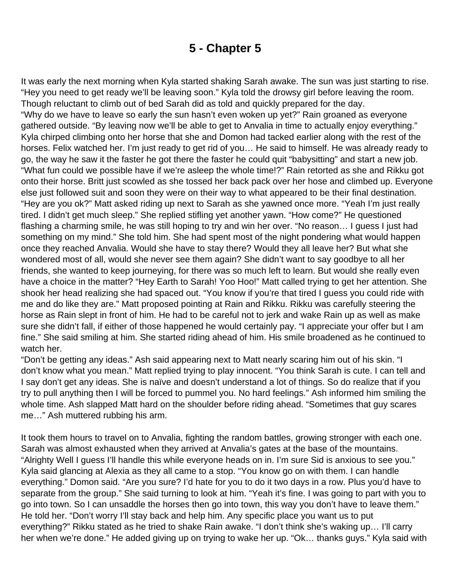# **5 - Chapter 5**

<span id="page-26-0"></span>It was early the next morning when Kyla started shaking Sarah awake. The sun was just starting to rise. "Hey you need to get ready we'll be leaving soon." Kyla told the drowsy girl before leaving the room. Though reluctant to climb out of bed Sarah did as told and quickly prepared for the day. "Why do we have to leave so early the sun hasn't even woken up yet?" Rain groaned as everyone gathered outside. "By leaving now we'll be able to get to Anvalia in time to actually enjoy everything." Kyla chirped climbing onto her horse that she and Domon had tacked earlier along with the rest of the horses. Felix watched her. I'm just ready to get rid of you… He said to himself. He was already ready to go, the way he saw it the faster he got there the faster he could quit "babysitting" and start a new job. "What fun could we possible have if we're asleep the whole time!?" Rain retorted as she and Rikku got onto their horse. Britt just scowled as she tossed her back pack over her hose and climbed up. Everyone else just followed suit and soon they were on their way to what appeared to be their final destination. "Hey are you ok?" Matt asked riding up next to Sarah as she yawned once more. "Yeah I'm just really tired. I didn't get much sleep." She replied stifling yet another yawn. "How come?" He questioned flashing a charming smile, he was still hoping to try and win her over. "No reason… I guess I just had something on my mind." She told him. She had spent most of the night pondering what would happen once they reached Anvalia. Would she have to stay there? Would they all leave her? But what she wondered most of all, would she never see them again? She didn't want to say goodbye to all her friends, she wanted to keep journeying, for there was so much left to learn. But would she really even have a choice in the matter? "Hey Earth to Sarah! Yoo Hoo!" Matt called trying to get her attention. She shook her head realizing she had spaced out. "You know if you're that tired I guess you could ride with me and do like they are." Matt proposed pointing at Rain and Rikku. Rikku was carefully steering the horse as Rain slept in front of him. He had to be careful not to jerk and wake Rain up as well as make sure she didn't fall, if either of those happened he would certainly pay. "I appreciate your offer but I am fine." She said smiling at him. She started riding ahead of him. His smile broadened as he continued to watch her.

"Don't be getting any ideas." Ash said appearing next to Matt nearly scaring him out of his skin. "I don't know what you mean." Matt replied trying to play innocent. "You think Sarah is cute. I can tell and I say don't get any ideas. She is naïve and doesn't understand a lot of things. So do realize that if you try to pull anything then I will be forced to pummel you. No hard feelings." Ash informed him smiling the whole time. Ash slapped Matt hard on the shoulder before riding ahead. "Sometimes that guy scares me…" Ash muttered rubbing his arm.

It took them hours to travel on to Anvalia, fighting the random battles, growing stronger with each one. Sarah was almost exhausted when they arrived at Anvalia's gates at the base of the mountains. "Alrighty Well I guess I'll handle this while everyone heads on in. I'm sure Sid is anxious to see you." Kyla said glancing at Alexia as they all came to a stop. "You know go on with them. I can handle everything." Domon said. "Are you sure? I'd hate for you to do it two days in a row. Plus you'd have to separate from the group." She said turning to look at him. "Yeah it's fine. I was going to part with you to go into town. So I can unsaddle the horses then go into town, this way you don't have to leave them." He told her. "Don't worry I'll stay back and help him. Any specific place you want us to put everything?" Rikku stated as he tried to shake Rain awake. "I don't think she's waking up… I'll carry her when we're done." He added giving up on trying to wake her up. "Ok… thanks guys." Kyla said with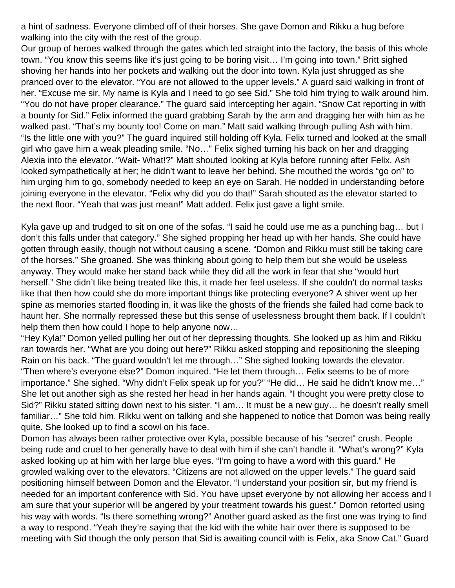a hint of sadness. Everyone climbed off of their horses. She gave Domon and Rikku a hug before walking into the city with the rest of the group.

Our group of heroes walked through the gates which led straight into the factory, the basis of this whole town. "You know this seems like it's just going to be boring visit… I'm going into town." Britt sighed shoving her hands into her pockets and walking out the door into town. Kyla just shrugged as she pranced over to the elevator. "You are not allowed to the upper levels." A guard said walking in front of her. "Excuse me sir. My name is Kyla and I need to go see Sid." She told him trying to walk around him. "You do not have proper clearance." The guard said intercepting her again. "Snow Cat reporting in with a bounty for Sid." Felix informed the guard grabbing Sarah by the arm and dragging her with him as he walked past. "That's my bounty too! Come on man." Matt said walking through pulling Ash with him. "Is the little one with you?" The guard inquired still holding off Kyla. Felix turned and looked at the small girl who gave him a weak pleading smile. "No…" Felix sighed turning his back on her and dragging Alexia into the elevator. "Wait- What!?" Matt shouted looking at Kyla before running after Felix. Ash looked sympathetically at her; he didn't want to leave her behind. She mouthed the words "go on" to him urging him to go, somebody needed to keep an eye on Sarah. He nodded in understanding before joining everyone in the elevator. "Felix why did you do that!" Sarah shouted as the elevator started to the next floor. "Yeah that was just mean!" Matt added. Felix just gave a light smile.

Kyla gave up and trudged to sit on one of the sofas. "I said he could use me as a punching bag… but I don't this falls under that category." She sighed propping her head up with her hands. She could have gotten through easily, though not without causing a scene. "Domon and Rikku must still be taking care of the horses." She groaned. She was thinking about going to help them but she would be useless anyway. They would make her stand back while they did all the work in fear that she "would hurt herself." She didn't like being treated like this, it made her feel useless. If she couldn't do normal tasks like that then how could she do more important things like protecting everyone? A shiver went up her spine as memories started flooding in, it was like the ghosts of the friends she failed had come back to haunt her. She normally repressed these but this sense of uselessness brought them back. If I couldn't help them then how could I hope to help anyone now…

"Hey Kyla!" Domon yelled pulling her out of her depressing thoughts. She looked up as him and Rikku ran towards her. "What are you doing out here?" Rikku asked stopping and repositioning the sleeping Rain on his back. "The guard wouldn't let me through…" She sighed looking towards the elevator. "Then where's everyone else?" Domon inquired. "He let them through… Felix seems to be of more importance." She sighed. "Why didn't Felix speak up for you?" "He did… He said he didn't know me…" She let out another sigh as she rested her head in her hands again. "I thought you were pretty close to Sid?" Rikku stated sitting down next to his sister. "I am… It must be a new guy… he doesn't really smell familiar…" She told him. Rikku went on talking and she happened to notice that Domon was being really quite. She looked up to find a scowl on his face.

Domon has always been rather protective over Kyla, possible because of his "secret" crush. People being rude and cruel to her generally have to deal with him if she can't handle it. "What's wrong?" Kyla asked looking up at him with her large blue eyes. "I'm going to have a word with this guard." He growled walking over to the elevators. "Citizens are not allowed on the upper levels." The guard said positioning himself between Domon and the Elevator. "I understand your position sir, but my friend is needed for an important conference with Sid. You have upset everyone by not allowing her access and I am sure that your superior will be angered by your treatment towards his guest." Domon retorted using his way with words. "Is there something wrong?" Another guard asked as the first one was trying to find a way to respond. "Yeah they're saying that the kid with the white hair over there is supposed to be meeting with Sid though the only person that Sid is awaiting council with is Felix, aka Snow Cat." Guard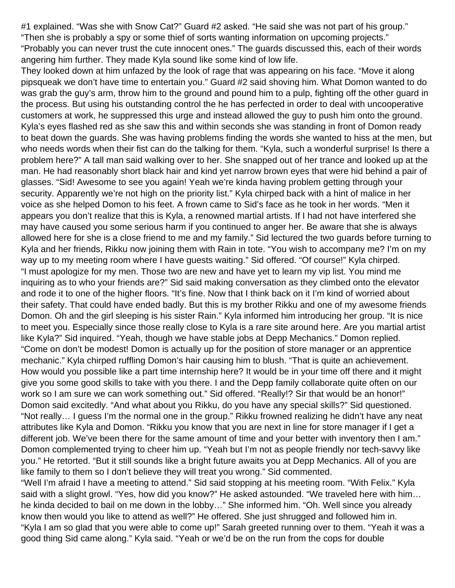#1 explained. "Was she with Snow Cat?" Guard #2 asked. "He said she was not part of his group." "Then she is probably a spy or some thief of sorts wanting information on upcoming projects." "Probably you can never trust the cute innocent ones." The guards discussed this, each of their words angering him further. They made Kyla sound like some kind of low life.

They looked down at him unfazed by the look of rage that was appearing on his face. "Move it along pipsqueak we don't have time to entertain you." Guard #2 said shoving him. What Domon wanted to do was grab the guy's arm, throw him to the ground and pound him to a pulp, fighting off the other guard in the process. But using his outstanding control the he has perfected in order to deal with uncooperative customers at work, he suppressed this urge and instead allowed the guy to push him onto the ground. Kyla's eyes flashed red as she saw this and within seconds she was standing in front of Domon ready to beat down the guards. She was having problems finding the words she wanted to hiss at the men, but who needs words when their fist can do the talking for them. "Kyla, such a wonderful surprise! Is there a problem here?" A tall man said walking over to her. She snapped out of her trance and looked up at the man. He had reasonably short black hair and kind yet narrow brown eyes that were hid behind a pair of glasses. "Sid! Awesome to see you again! Yeah we're kinda having problem getting through your security. Apparently we're not high on the priority list." Kyla chirped back with a hint of malice in her voice as she helped Domon to his feet. A frown came to Sid's face as he took in her words. "Men it appears you don't realize that this is Kyla, a renowned martial artists. If I had not have interfered she may have caused you some serious harm if you continued to anger her. Be aware that she is always allowed here for she is a close friend to me and my family." Sid lectured the two guards before turning to Kyla and her friends, Rikku now joining them with Rain in tote. "You wish to accompany me? I'm on my way up to my meeting room where I have guests waiting." Sid offered. "Of course!" Kyla chirped. "I must apologize for my men. Those two are new and have yet to learn my vip list. You mind me inquiring as to who your friends are?" Sid said making conversation as they climbed onto the elevator and rode it to one of the higher floors. "It's fine. Now that I think back on it I'm kind of worried about their safety. That could have ended badly. But this is my brother Rikku and one of my awesome friends Domon. Oh and the girl sleeping is his sister Rain." Kyla informed him introducing her group. "It is nice to meet you. Especially since those really close to Kyla is a rare site around here. Are you martial artist like Kyla?" Sid inquired. "Yeah, though we have stable jobs at Depp Mechanics." Domon replied. "Come on don't be modest! Domon is actually up for the position of store manager or an apprentice mechanic." Kyla chirped ruffling Domon's hair causing him to blush. "That is quite an achievement. How would you possible like a part time internship here? It would be in your time off there and it might give you some good skills to take with you there. I and the Depp family collaborate quite often on our work so I am sure we can work something out." Sid offered. "Really!? Sir that would be an honor!" Domon said excitedly. "And what about you Rikku, do you have any special skills?" Sid questioned. "Not really… I guess I'm the normal one in the group." Rikku frowned realizing he didn't have any neat attributes like Kyla and Domon. "Rikku you know that you are next in line for store manager if I get a different job. We've been there for the same amount of time and your better with inventory then I am." Domon complemented trying to cheer him up. "Yeah but I'm not as people friendly nor tech-savvy like you." He retorted. "But it still sounds like a bright future awaits you at Depp Mechanics. All of you are like family to them so I don't believe they will treat you wrong." Sid commented.

"Well I'm afraid I have a meeting to attend." Sid said stopping at his meeting room. "With Felix." Kyla said with a slight growl. "Yes, how did you know?" He asked astounded. "We traveled here with him… he kinda decided to bail on me down in the lobby…" She informed him. "Oh. Well since you already know then would you like to attend as well?" He offered. She just shrugged and followed him in. "Kyla I am so glad that you were able to come up!" Sarah greeted running over to them. "Yeah it was a good thing Sid came along." Kyla said. "Yeah or we'd be on the run from the cops for double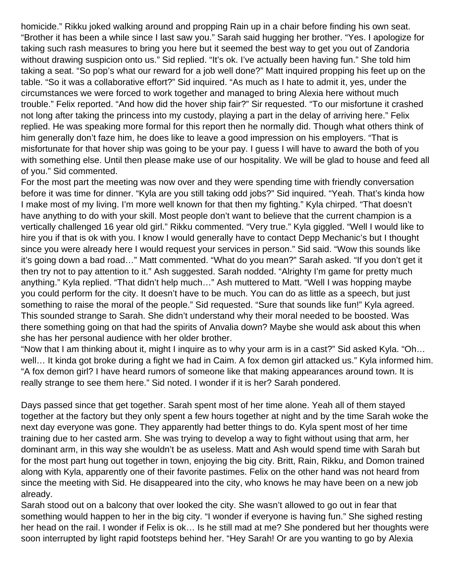homicide." Rikku joked walking around and propping Rain up in a chair before finding his own seat. "Brother it has been a while since I last saw you." Sarah said hugging her brother. "Yes. I apologize for taking such rash measures to bring you here but it seemed the best way to get you out of Zandoria without drawing suspicion onto us." Sid replied. "It's ok. I've actually been having fun." She told him taking a seat. "So pop's what our reward for a job well done?" Matt inquired propping his feet up on the table. "So it was a collaborative effort?" Sid inquired. "As much as I hate to admit it, yes, under the circumstances we were forced to work together and managed to bring Alexia here without much trouble." Felix reported. "And how did the hover ship fair?" Sir requested. "To our misfortune it crashed not long after taking the princess into my custody, playing a part in the delay of arriving here." Felix replied. He was speaking more formal for this report then he normally did. Though what others think of him generally don't faze him, he does like to leave a good impression on his employers. "That is misfortunate for that hover ship was going to be your pay. I guess I will have to award the both of you with something else. Until then please make use of our hospitality. We will be glad to house and feed all of you." Sid commented.

For the most part the meeting was now over and they were spending time with friendly conversation before it was time for dinner. "Kyla are you still taking odd jobs?" Sid inquired. "Yeah. That's kinda how I make most of my living. I'm more well known for that then my fighting." Kyla chirped. "That doesn't have anything to do with your skill. Most people don't want to believe that the current champion is a vertically challenged 16 year old girl." Rikku commented. "Very true." Kyla giggled. "Well I would like to hire you if that is ok with you. I know I would generally have to contact Depp Mechanic's but I thought since you were already here I would request your services in person." Sid said. "Wow this sounds like it's going down a bad road…" Matt commented. "What do you mean?" Sarah asked. "If you don't get it then try not to pay attention to it." Ash suggested. Sarah nodded. "Alrighty I'm game for pretty much anything." Kyla replied. "That didn't help much…" Ash muttered to Matt. "Well I was hopping maybe you could perform for the city. It doesn't have to be much. You can do as little as a speech, but just something to raise the moral of the people." Sid requested. "Sure that sounds like fun!" Kyla agreed. This sounded strange to Sarah. She didn't understand why their moral needed to be boosted. Was there something going on that had the spirits of Anvalia down? Maybe she would ask about this when she has her personal audience with her older brother.

"Now that I am thinking about it, might I inquire as to why your arm is in a cast?" Sid asked Kyla. "Oh… well… It kinda got broke during a fight we had in Caim. A fox demon girl attacked us." Kyla informed him. "A fox demon girl? I have heard rumors of someone like that making appearances around town. It is really strange to see them here." Sid noted. I wonder if it is her? Sarah pondered.

Days passed since that get together. Sarah spent most of her time alone. Yeah all of them stayed together at the factory but they only spent a few hours together at night and by the time Sarah woke the next day everyone was gone. They apparently had better things to do. Kyla spent most of her time training due to her casted arm. She was trying to develop a way to fight without using that arm, her dominant arm, in this way she wouldn't be as useless. Matt and Ash would spend time with Sarah but for the most part hung out together in town, enjoying the big city. Britt, Rain, Rikku, and Domon trained along with Kyla, apparently one of their favorite pastimes. Felix on the other hand was not heard from since the meeting with Sid. He disappeared into the city, who knows he may have been on a new job already.

Sarah stood out on a balcony that over looked the city. She wasn't allowed to go out in fear that something would happen to her in the big city. "I wonder if everyone is having fun." She sighed resting her head on the rail. I wonder if Felix is ok… Is he still mad at me? She pondered but her thoughts were soon interrupted by light rapid footsteps behind her. "Hey Sarah! Or are you wanting to go by Alexia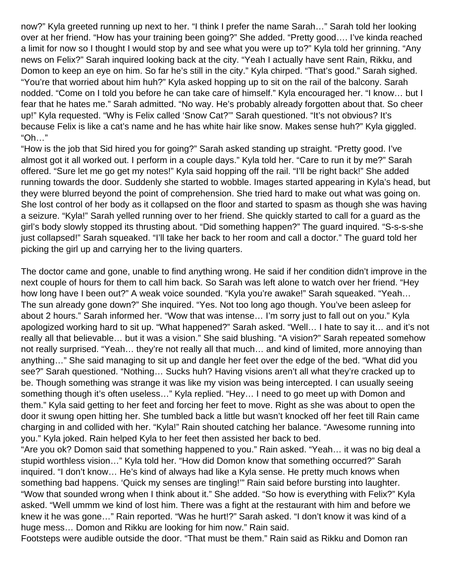now?" Kyla greeted running up next to her. "I think I prefer the name Sarah…" Sarah told her looking over at her friend. "How has your training been going?" She added. "Pretty good…. I've kinda reached a limit for now so I thought I would stop by and see what you were up to?" Kyla told her grinning. "Any news on Felix?" Sarah inquired looking back at the city. "Yeah I actually have sent Rain, Rikku, and Domon to keep an eye on him. So far he's still in the city." Kyla chirped. "That's good." Sarah sighed. "You're that worried about him huh?" Kyla asked hopping up to sit on the rail of the balcony. Sarah nodded. "Come on I told you before he can take care of himself." Kyla encouraged her. "I know… but I fear that he hates me." Sarah admitted. "No way. He's probably already forgotten about that. So cheer up!" Kyla requested. "Why is Felix called 'Snow Cat?'" Sarah questioned. "It's not obvious? It's because Felix is like a cat's name and he has white hair like snow. Makes sense huh?" Kyla giggled. "Oh…"

"How is the job that Sid hired you for going?" Sarah asked standing up straight. "Pretty good. I've almost got it all worked out. I perform in a couple days." Kyla told her. "Care to run it by me?" Sarah offered. "Sure let me go get my notes!" Kyla said hopping off the rail. "I'll be right back!" She added running towards the door. Suddenly she started to wobble. Images started appearing in Kyla's head, but they were blurred beyond the point of comprehension. She tried hard to make out what was going on. She lost control of her body as it collapsed on the floor and started to spasm as though she was having a seizure. "Kyla!" Sarah yelled running over to her friend. She quickly started to call for a guard as the girl's body slowly stopped its thrusting about. "Did something happen?" The guard inquired. "S-s-s-she just collapsed!" Sarah squeaked. "I'll take her back to her room and call a doctor." The guard told her picking the girl up and carrying her to the living quarters.

The doctor came and gone, unable to find anything wrong. He said if her condition didn't improve in the next couple of hours for them to call him back. So Sarah was left alone to watch over her friend. "Hey how long have I been out?" A weak voice sounded. "Kyla you're awake!" Sarah squeaked. "Yeah… The sun already gone down?" She inquired. "Yes. Not too long ago though. You've been asleep for about 2 hours." Sarah informed her. "Wow that was intense… I'm sorry just to fall out on you." Kyla apologized working hard to sit up. "What happened?" Sarah asked. "Well… I hate to say it… and it's not really all that believable… but it was a vision." She said blushing. "A vision?" Sarah repeated somehow not really surprised. "Yeah… they're not really all that much… and kind of limited, more annoying than anything…" She said managing to sit up and dangle her feet over the edge of the bed. "What did you see?" Sarah questioned. "Nothing… Sucks huh? Having visions aren't all what they're cracked up to be. Though something was strange it was like my vision was being intercepted. I can usually seeing something though it's often useless…" Kyla replied. "Hey… I need to go meet up with Domon and them." Kyla said getting to her feet and forcing her feet to move. Right as she was about to open the door it swung open hitting her. She tumbled back a little but wasn't knocked off her feet till Rain came charging in and collided with her. "Kyla!" Rain shouted catching her balance. "Awesome running into you." Kyla joked. Rain helped Kyla to her feet then assisted her back to bed.

"Are you ok? Domon said that something happened to you." Rain asked. "Yeah… it was no big deal a stupid worthless vision…" Kyla told her. "How did Domon know that something occurred?" Sarah inquired. "I don't know… He's kind of always had like a Kyla sense. He pretty much knows when something bad happens. 'Quick my senses are tingling!'" Rain said before bursting into laughter. "Wow that sounded wrong when I think about it." She added. "So how is everything with Felix?" Kyla asked. "Well ummm we kind of lost him. There was a fight at the restaurant with him and before we knew it he was gone…" Rain reported. "Was he hurt!?" Sarah asked. "I don't know it was kind of a huge mess… Domon and Rikku are looking for him now." Rain said.

Footsteps were audible outside the door. "That must be them." Rain said as Rikku and Domon ran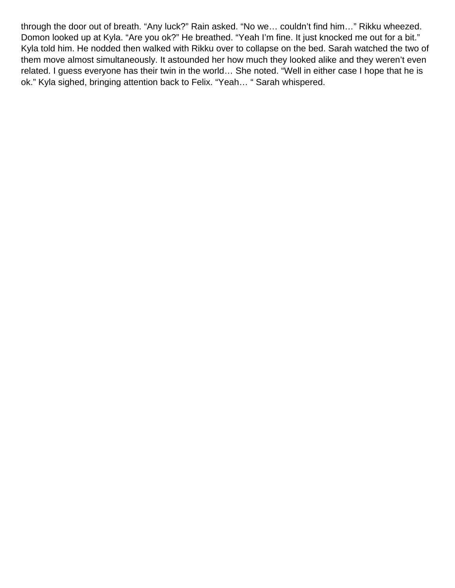through the door out of breath. "Any luck?" Rain asked. "No we… couldn't find him…" Rikku wheezed. Domon looked up at Kyla. "Are you ok?" He breathed. "Yeah I'm fine. It just knocked me out for a bit." Kyla told him. He nodded then walked with Rikku over to collapse on the bed. Sarah watched the two of them move almost simultaneously. It astounded her how much they looked alike and they weren't even related. I guess everyone has their twin in the world… She noted. "Well in either case I hope that he is ok." Kyla sighed, bringing attention back to Felix. "Yeah… " Sarah whispered.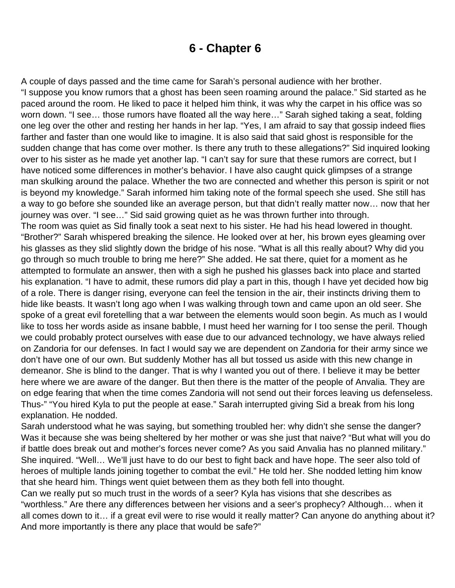### **6 - Chapter 6**

<span id="page-32-0"></span>A couple of days passed and the time came for Sarah's personal audience with her brother. "I suppose you know rumors that a ghost has been seen roaming around the palace." Sid started as he paced around the room. He liked to pace it helped him think, it was why the carpet in his office was so worn down. "I see... those rumors have floated all the way here..." Sarah sighed taking a seat, folding one leg over the other and resting her hands in her lap. "Yes, I am afraid to say that gossip indeed flies farther and faster than one would like to imagine. It is also said that said ghost is responsible for the sudden change that has come over mother. Is there any truth to these allegations?" Sid inquired looking over to his sister as he made yet another lap. "I can't say for sure that these rumors are correct, but I have noticed some differences in mother's behavior. I have also caught quick glimpses of a strange man skulking around the palace. Whether the two are connected and whether this person is spirit or not is beyond my knowledge." Sarah informed him taking note of the formal speech she used. She still has a way to go before she sounded like an average person, but that didn't really matter now… now that her journey was over. "I see…" Sid said growing quiet as he was thrown further into through. The room was quiet as Sid finally took a seat next to his sister. He had his head lowered in thought. "Brother?" Sarah whispered breaking the silence. He looked over at her, his brown eyes gleaming over his glasses as they slid slightly down the bridge of his nose. "What is all this really about? Why did you go through so much trouble to bring me here?" She added. He sat there, quiet for a moment as he attempted to formulate an answer, then with a sigh he pushed his glasses back into place and started his explanation. "I have to admit, these rumors did play a part in this, though I have yet decided how big of a role. There is danger rising, everyone can feel the tension in the air, their instincts driving them to hide like beasts. It wasn't long ago when I was walking through town and came upon an old seer. She spoke of a great evil foretelling that a war between the elements would soon begin. As much as I would like to toss her words aside as insane babble, I must heed her warning for I too sense the peril. Though we could probably protect ourselves with ease due to our advanced technology, we have always relied on Zandoria for our defenses. In fact I would say we are dependent on Zandoria for their army since we don't have one of our own. But suddenly Mother has all but tossed us aside with this new change in demeanor. She is blind to the danger. That is why I wanted you out of there. I believe it may be better here where we are aware of the danger. But then there is the matter of the people of Anvalia. They are on edge fearing that when the time comes Zandoria will not send out their forces leaving us defenseless. Thus-" "You hired Kyla to put the people at ease." Sarah interrupted giving Sid a break from his long explanation. He nodded.

Sarah understood what he was saying, but something troubled her: why didn't she sense the danger? Was it because she was being sheltered by her mother or was she just that naive? "But what will you do if battle does break out and mother's forces never come? As you said Anvalia has no planned military." She inquired. "Well… We'll just have to do our best to fight back and have hope. The seer also told of heroes of multiple lands joining together to combat the evil." He told her. She nodded letting him know that she heard him. Things went quiet between them as they both fell into thought.

Can we really put so much trust in the words of a seer? Kyla has visions that she describes as "worthless." Are there any differences between her visions and a seer's prophecy? Although… when it all comes down to it… if a great evil were to rise would it really matter? Can anyone do anything about it? And more importantly is there any place that would be safe?"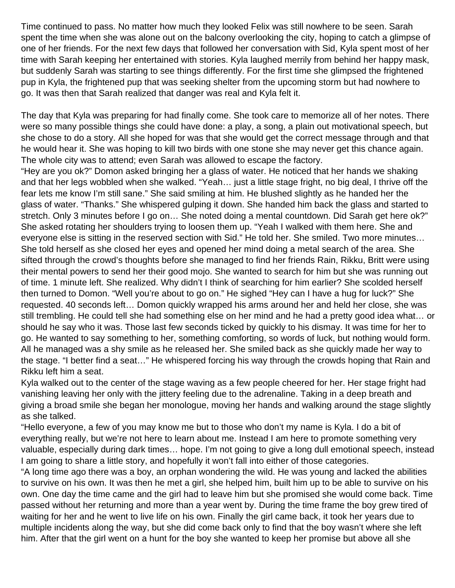Time continued to pass. No matter how much they looked Felix was still nowhere to be seen. Sarah spent the time when she was alone out on the balcony overlooking the city, hoping to catch a glimpse of one of her friends. For the next few days that followed her conversation with Sid, Kyla spent most of her time with Sarah keeping her entertained with stories. Kyla laughed merrily from behind her happy mask, but suddenly Sarah was starting to see things differently. For the first time she glimpsed the frightened pup in Kyla, the frightened pup that was seeking shelter from the upcoming storm but had nowhere to go. It was then that Sarah realized that danger was real and Kyla felt it.

The day that Kyla was preparing for had finally come. She took care to memorize all of her notes. There were so many possible things she could have done: a play, a song, a plain out motivational speech, but she chose to do a story. All she hoped for was that she would get the correct message through and that he would hear it. She was hoping to kill two birds with one stone she may never get this chance again. The whole city was to attend; even Sarah was allowed to escape the factory.

"Hey are you ok?" Domon asked bringing her a glass of water. He noticed that her hands we shaking and that her legs wobbled when she walked. "Yeah… just a little stage fright, no big deal, I thrive off the fear lets me know I'm still sane." She said smiling at him. He blushed slightly as he handed her the glass of water. "Thanks." She whispered gulping it down. She handed him back the glass and started to stretch. Only 3 minutes before I go on… She noted doing a mental countdown. Did Sarah get here ok?" She asked rotating her shoulders trying to loosen them up. "Yeah I walked with them here. She and everyone else is sitting in the reserved section with Sid." He told her. She smiled. Two more minutes… She told herself as she closed her eyes and opened her mind doing a metal search of the area. She sifted through the crowd's thoughts before she managed to find her friends Rain, Rikku, Britt were using their mental powers to send her their good mojo. She wanted to search for him but she was running out of time. 1 minute left. She realized. Why didn't I think of searching for him earlier? She scolded herself then turned to Domon. "Well you're about to go on." He sighed "Hey can I have a hug for luck?" She requested. 40 seconds left… Domon quickly wrapped his arms around her and held her close, she was still trembling. He could tell she had something else on her mind and he had a pretty good idea what… or should he say who it was. Those last few seconds ticked by quickly to his dismay. It was time for her to go. He wanted to say something to her, something comforting, so words of luck, but nothing would form. All he managed was a shy smile as he released her. She smiled back as she quickly made her way to the stage. "I better find a seat…" He whispered forcing his way through the crowds hoping that Rain and Rikku left him a seat.

Kyla walked out to the center of the stage waving as a few people cheered for her. Her stage fright had vanishing leaving her only with the jittery feeling due to the adrenaline. Taking in a deep breath and giving a broad smile she began her monologue, moving her hands and walking around the stage slightly as she talked.

"Hello everyone, a few of you may know me but to those who don't my name is Kyla. I do a bit of everything really, but we're not here to learn about me. Instead I am here to promote something very valuable, especially during dark times… hope. I'm not going to give a long dull emotional speech, instead I am going to share a little story, and hopefully it won't fall into either of those categories.

"A long time ago there was a boy, an orphan wondering the wild. He was young and lacked the abilities to survive on his own. It was then he met a girl, she helped him, built him up to be able to survive on his own. One day the time came and the girl had to leave him but she promised she would come back. Time passed without her returning and more than a year went by. During the time frame the boy grew tired of waiting for her and he went to live life on his own. Finally the girl came back, it took her years due to multiple incidents along the way, but she did come back only to find that the boy wasn't where she left him. After that the girl went on a hunt for the boy she wanted to keep her promise but above all she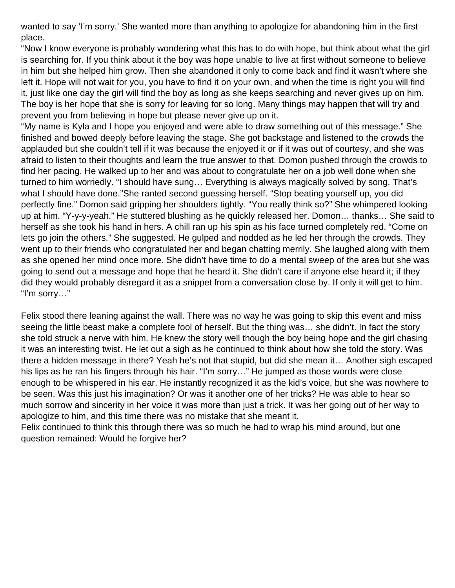wanted to say 'I'm sorry.' She wanted more than anything to apologize for abandoning him in the first place.

"Now I know everyone is probably wondering what this has to do with hope, but think about what the girl is searching for. If you think about it the boy was hope unable to live at first without someone to believe in him but she helped him grow. Then she abandoned it only to come back and find it wasn't where she left it. Hope will not wait for you, you have to find it on your own, and when the time is right you will find it, just like one day the girl will find the boy as long as she keeps searching and never gives up on him. The boy is her hope that she is sorry for leaving for so long. Many things may happen that will try and prevent you from believing in hope but please never give up on it.

"My name is Kyla and I hope you enjoyed and were able to draw something out of this message." She finished and bowed deeply before leaving the stage. She got backstage and listened to the crowds the applauded but she couldn't tell if it was because the enjoyed it or if it was out of courtesy, and she was afraid to listen to their thoughts and learn the true answer to that. Domon pushed through the crowds to find her pacing. He walked up to her and was about to congratulate her on a job well done when she turned to him worriedly. "I should have sung… Everything is always magically solved by song. That's what I should have done."She ranted second guessing herself. "Stop beating yourself up, you did perfectly fine." Domon said gripping her shoulders tightly. "You really think so?" She whimpered looking up at him. "Y-y-y-yeah." He stuttered blushing as he quickly released her. Domon… thanks… She said to herself as she took his hand in hers. A chill ran up his spin as his face turned completely red. "Come on lets go join the others." She suggested. He gulped and nodded as he led her through the crowds. They went up to their friends who congratulated her and began chatting merrily. She laughed along with them as she opened her mind once more. She didn't have time to do a mental sweep of the area but she was going to send out a message and hope that he heard it. She didn't care if anyone else heard it; if they did they would probably disregard it as a snippet from a conversation close by. If only it will get to him. "I'm sorry…"

Felix stood there leaning against the wall. There was no way he was going to skip this event and miss seeing the little beast make a complete fool of herself. But the thing was… she didn't. In fact the story she told struck a nerve with him. He knew the story well though the boy being hope and the girl chasing it was an interesting twist. He let out a sigh as he continued to think about how she told the story. Was there a hidden message in there? Yeah he's not that stupid, but did she mean it… Another sigh escaped his lips as he ran his fingers through his hair. "I'm sorry..." He jumped as those words were close enough to be whispered in his ear. He instantly recognized it as the kid's voice, but she was nowhere to be seen. Was this just his imagination? Or was it another one of her tricks? He was able to hear so much sorrow and sincerity in her voice it was more than just a trick. It was her going out of her way to apologize to him, and this time there was no mistake that she meant it.

Felix continued to think this through there was so much he had to wrap his mind around, but one question remained: Would he forgive her?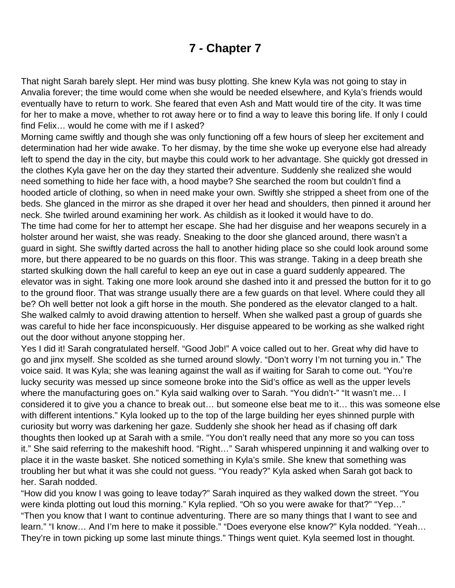# **7 - Chapter 7**

<span id="page-35-0"></span>That night Sarah barely slept. Her mind was busy plotting. She knew Kyla was not going to stay in Anvalia forever; the time would come when she would be needed elsewhere, and Kyla's friends would eventually have to return to work. She feared that even Ash and Matt would tire of the city. It was time for her to make a move, whether to rot away here or to find a way to leave this boring life. If only I could find Felix… would he come with me if I asked?

Morning came swiftly and though she was only functioning off a few hours of sleep her excitement and determination had her wide awake. To her dismay, by the time she woke up everyone else had already left to spend the day in the city, but maybe this could work to her advantage. She quickly got dressed in the clothes Kyla gave her on the day they started their adventure. Suddenly she realized she would need something to hide her face with, a hood maybe? She searched the room but couldn't find a hooded article of clothing, so when in need make your own. Swiftly she stripped a sheet from one of the beds. She glanced in the mirror as she draped it over her head and shoulders, then pinned it around her neck. She twirled around examining her work. As childish as it looked it would have to do. The time had come for her to attempt her escape. She had her disguise and her weapons securely in a holster around her waist, she was ready. Sneaking to the door she glanced around, there wasn't a guard in sight. She swiftly darted across the hall to another hiding place so she could look around some more, but there appeared to be no guards on this floor. This was strange. Taking in a deep breath she started skulking down the hall careful to keep an eye out in case a guard suddenly appeared. The elevator was in sight. Taking one more look around she dashed into it and pressed the button for it to go to the ground floor. That was strange usually there are a few guards on that level. Where could they all be? Oh well better not look a gift horse in the mouth. She pondered as the elevator clanged to a halt. She walked calmly to avoid drawing attention to herself. When she walked past a group of guards she was careful to hide her face inconspicuously. Her disguise appeared to be working as she walked right out the door without anyone stopping her.

Yes I did it! Sarah congratulated herself. "Good Job!" A voice called out to her. Great why did have to go and jinx myself. She scolded as she turned around slowly. "Don't worry I'm not turning you in." The voice said. It was Kyla; she was leaning against the wall as if waiting for Sarah to come out. "You're lucky security was messed up since someone broke into the Sid's office as well as the upper levels where the manufacturing goes on." Kyla said walking over to Sarah. "You didn't-" "It wasn't me... I considered it to give you a chance to break out… but someone else beat me to it… this was someone else with different intentions." Kyla looked up to the top of the large building her eyes shinned purple with curiosity but worry was darkening her gaze. Suddenly she shook her head as if chasing off dark thoughts then looked up at Sarah with a smile. "You don't really need that any more so you can toss it." She said referring to the makeshift hood. "Right…" Sarah whispered unpinning it and walking over to place it in the waste basket. She noticed something in Kyla's smile. She knew that something was troubling her but what it was she could not guess. "You ready?" Kyla asked when Sarah got back to her. Sarah nodded.

"How did you know I was going to leave today?" Sarah inquired as they walked down the street. "You were kinda plotting out loud this morning." Kyla replied. "Oh so you were awake for that?" "Yep…" "Then you know that I want to continue adventuring. There are so many things that I want to see and learn." "I know... And I'm here to make it possible." "Does everyone else know?" Kyla nodded. "Yeah... They're in town picking up some last minute things." Things went quiet. Kyla seemed lost in thought.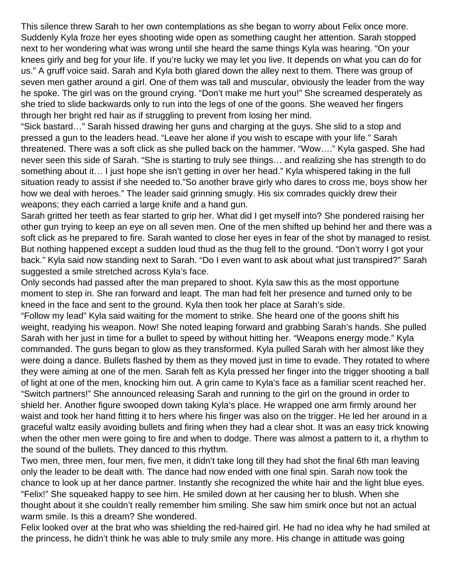This silence threw Sarah to her own contemplations as she began to worry about Felix once more. Suddenly Kyla froze her eyes shooting wide open as something caught her attention. Sarah stopped next to her wondering what was wrong until she heard the same things Kyla was hearing. "On your knees girly and beg for your life. If you're lucky we may let you live. It depends on what you can do for us." A gruff voice said. Sarah and Kyla both glared down the alley next to them. There was group of seven men gather around a girl. One of them was tall and muscular, obviously the leader from the way he spoke. The girl was on the ground crying. "Don't make me hurt you!" She screamed desperately as she tried to slide backwards only to run into the legs of one of the goons. She weaved her fingers through her bright red hair as if struggling to prevent from losing her mind.

"Sick bastard…" Sarah hissed drawing her guns and charging at the guys. She slid to a stop and pressed a gun to the leaders head. "Leave her alone if you wish to escape with your life." Sarah threatened. There was a soft click as she pulled back on the hammer. "Wow…." Kyla gasped. She had never seen this side of Sarah. "She is starting to truly see things… and realizing she has strength to do something about it... I just hope she isn't getting in over her head." Kyla whispered taking in the full situation ready to assist if she needed to."So another brave girly who dares to cross me, boys show her how we deal with heroes." The leader said grinning smugly. His six comrades quickly drew their weapons; they each carried a large knife and a hand gun.

Sarah gritted her teeth as fear started to grip her. What did I get myself into? She pondered raising her other gun trying to keep an eye on all seven men. One of the men shifted up behind her and there was a soft click as he prepared to fire. Sarah wanted to close her eyes in fear of the shot by managed to resist. But nothing happened except a sudden loud thud as the thug fell to the ground. "Don't worry I got your back." Kyla said now standing next to Sarah. "Do I even want to ask about what just transpired?" Sarah suggested a smile stretched across Kyla's face.

Only seconds had passed after the man prepared to shoot. Kyla saw this as the most opportune moment to step in. She ran forward and leapt. The man had felt her presence and turned only to be kneed in the face and sent to the ground. Kyla then took her place at Sarah's side.

"Follow my lead" Kyla said waiting for the moment to strike. She heard one of the goons shift his weight, readying his weapon. Now! She noted leaping forward and grabbing Sarah's hands. She pulled Sarah with her just in time for a bullet to speed by without hitting her. "Weapons energy mode." Kyla commanded. The guns began to glow as they transformed. Kyla pulled Sarah with her almost like they were doing a dance. Bullets flashed by them as they moved just in time to evade. They rotated to where they were aiming at one of the men. Sarah felt as Kyla pressed her finger into the trigger shooting a ball of light at one of the men, knocking him out. A grin came to Kyla's face as a familiar scent reached her. "Switch partners!" She announced releasing Sarah and running to the girl on the ground in order to shield her. Another figure swooped down taking Kyla's place. He wrapped one arm firmly around her waist and took her hand fitting it to hers where his finger was also on the trigger. He led her around in a graceful waltz easily avoiding bullets and firing when they had a clear shot. It was an easy trick knowing when the other men were going to fire and when to dodge. There was almost a pattern to it, a rhythm to the sound of the bullets. They danced to this rhythm.

Two men, three men, four men, five men, it didn't take long till they had shot the final 6th man leaving only the leader to be dealt with. The dance had now ended with one final spin. Sarah now took the chance to look up at her dance partner. Instantly she recognized the white hair and the light blue eyes. "Felix!" She squeaked happy to see him. He smiled down at her causing her to blush. When she thought about it she couldn't really remember him smiling. She saw him smirk once but not an actual warm smile. Is this a dream? She wondered.

Felix looked over at the brat who was shielding the red-haired girl. He had no idea why he had smiled at the princess, he didn't think he was able to truly smile any more. His change in attitude was going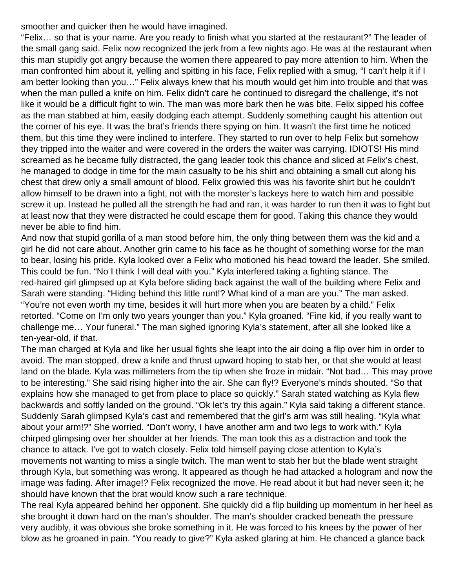smoother and quicker then he would have imagined.

"Felix… so that is your name. Are you ready to finish what you started at the restaurant?" The leader of the small gang said. Felix now recognized the jerk from a few nights ago. He was at the restaurant when this man stupidly got angry because the women there appeared to pay more attention to him. When the man confronted him about it, yelling and spitting in his face, Felix replied with a smug, "I can't help it if I am better looking than you…" Felix always knew that his mouth would get him into trouble and that was when the man pulled a knife on him. Felix didn't care he continued to disregard the challenge, it's not like it would be a difficult fight to win. The man was more bark then he was bite. Felix sipped his coffee as the man stabbed at him, easily dodging each attempt. Suddenly something caught his attention out the corner of his eye. It was the brat's friends there spying on him. It wasn't the first time he noticed them, but this time they were inclined to interfere. They started to run over to help Felix but somehow they tripped into the waiter and were covered in the orders the waiter was carrying. IDIOTS! His mind screamed as he became fully distracted, the gang leader took this chance and sliced at Felix's chest, he managed to dodge in time for the main casualty to be his shirt and obtaining a small cut along his chest that drew only a small amount of blood. Felix growled this was his favorite shirt but he couldn't allow himself to be drawn into a fight, not with the monster's lackeys here to watch him and possible screw it up. Instead he pulled all the strength he had and ran, it was harder to run then it was to fight but at least now that they were distracted he could escape them for good. Taking this chance they would never be able to find him.

And now that stupid gorilla of a man stood before him, the only thing between them was the kid and a girl he did not care about. Another grin came to his face as he thought of something worse for the man to bear, losing his pride. Kyla looked over a Felix who motioned his head toward the leader. She smiled. This could be fun. "No I think I will deal with you." Kyla interfered taking a fighting stance. The red-haired girl glimpsed up at Kyla before sliding back against the wall of the building where Felix and Sarah were standing. "Hiding behind this little runt!? What kind of a man are you." The man asked. "You're not even worth my time, besides it will hurt more when you are beaten by a child." Felix retorted. "Come on I'm only two years younger than you." Kyla groaned. "Fine kid, if you really want to challenge me… Your funeral." The man sighed ignoring Kyla's statement, after all she looked like a ten-year-old, if that.

The man charged at Kyla and like her usual fights she leapt into the air doing a flip over him in order to avoid. The man stopped, drew a knife and thrust upward hoping to stab her, or that she would at least land on the blade. Kyla was millimeters from the tip when she froze in midair. "Not bad… This may prove to be interesting." She said rising higher into the air. She can fly!? Everyone's minds shouted. "So that explains how she managed to get from place to place so quickly." Sarah stated watching as Kyla flew backwards and softly landed on the ground. "Ok let's try this again." Kyla said taking a different stance. Suddenly Sarah glimpsed Kyla's cast and remembered that the girl's arm was still healing. "Kyla what about your arm!?" She worried. "Don't worry, I have another arm and two legs to work with." Kyla chirped glimpsing over her shoulder at her friends. The man took this as a distraction and took the chance to attack. I've got to watch closely. Felix told himself paying close attention to Kyla's movements not wanting to miss a single twitch. The man went to stab her but the blade went straight through Kyla, but something was wrong. It appeared as though he had attacked a hologram and now the image was fading. After image!? Felix recognized the move. He read about it but had never seen it; he should have known that the brat would know such a rare technique.

The real Kyla appeared behind her opponent. She quickly did a flip building up momentum in her heel as she brought it down hard on the man's shoulder. The man's shoulder cracked beneath the pressure very audibly, it was obvious she broke something in it. He was forced to his knees by the power of her blow as he groaned in pain. "You ready to give?" Kyla asked glaring at him. He chanced a glance back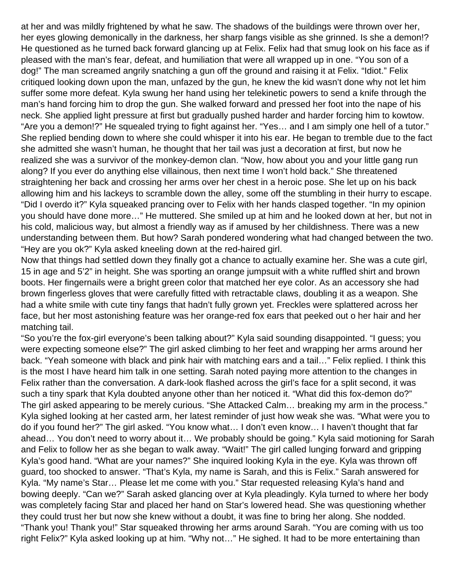at her and was mildly frightened by what he saw. The shadows of the buildings were thrown over her, her eyes glowing demonically in the darkness, her sharp fangs visible as she grinned. Is she a demon!? He questioned as he turned back forward glancing up at Felix. Felix had that smug look on his face as if pleased with the man's fear, defeat, and humiliation that were all wrapped up in one. "You son of a dog!" The man screamed angrily snatching a gun off the ground and raising it at Felix. "Idiot." Felix critiqued looking down upon the man, unfazed by the gun, he knew the kid wasn't done why not let him suffer some more defeat. Kyla swung her hand using her telekinetic powers to send a knife through the man's hand forcing him to drop the gun. She walked forward and pressed her foot into the nape of his neck. She applied light pressure at first but gradually pushed harder and harder forcing him to kowtow. "Are you a demon!?" He squealed trying to fight against her. "Yes… and I am simply one hell of a tutor." She replied bending down to where she could whisper it into his ear. He began to tremble due to the fact she admitted she wasn't human, he thought that her tail was just a decoration at first, but now he realized she was a survivor of the monkey-demon clan. "Now, how about you and your little gang run along? If you ever do anything else villainous, then next time I won't hold back." She threatened straightening her back and crossing her arms over her chest in a heroic pose. She let up on his back allowing him and his lackeys to scramble down the alley, some off the stumbling in their hurry to escape. "Did I overdo it?" Kyla squeaked prancing over to Felix with her hands clasped together. "In my opinion you should have done more…" He muttered. She smiled up at him and he looked down at her, but not in his cold, malicious way, but almost a friendly way as if amused by her childishness. There was a new understanding between them. But how? Sarah pondered wondering what had changed between the two. "Hey are you ok?" Kyla asked kneeling down at the red-haired girl.

Now that things had settled down they finally got a chance to actually examine her. She was a cute girl, 15 in age and 5'2" in height. She was sporting an orange jumpsuit with a white ruffled shirt and brown boots. Her fingernails were a bright green color that matched her eye color. As an accessory she had brown fingerless gloves that were carefully fitted with retractable claws, doubling it as a weapon. She had a white smile with cute tiny fangs that hadn't fully grown yet. Freckles were splattered across her face, but her most astonishing feature was her orange-red fox ears that peeked out o her hair and her matching tail.

"So you're the fox-girl everyone's been talking about?" Kyla said sounding disappointed. "I guess; you were expecting someone else?" The girl asked climbing to her feet and wrapping her arms around her back. "Yeah someone with black and pink hair with matching ears and a tail…" Felix replied. I think this is the most I have heard him talk in one setting. Sarah noted paying more attention to the changes in Felix rather than the conversation. A dark-look flashed across the girl's face for a split second, it was such a tiny spark that Kyla doubted anyone other than her noticed it. "What did this fox-demon do?" The girl asked appearing to be merely curious. "She Attacked Calm… breaking my arm in the process." Kyla sighed looking at her casted arm, her latest reminder of just how weak she was. "What were you to do if you found her?" The girl asked. "You know what… I don't even know… I haven't thought that far ahead… You don't need to worry about it… We probably should be going." Kyla said motioning for Sarah and Felix to follow her as she began to walk away. "Wait!" The girl called lunging forward and gripping Kyla's good hand. "What are your names?" She inquired looking Kyla in the eye. Kyla was thrown off guard, too shocked to answer. "That's Kyla, my name is Sarah, and this is Felix." Sarah answered for Kyla. "My name's Star… Please let me come with you." Star requested releasing Kyla's hand and bowing deeply. "Can we?" Sarah asked glancing over at Kyla pleadingly. Kyla turned to where her body was completely facing Star and placed her hand on Star's lowered head. She was questioning whether they could trust her but now she knew without a doubt, it was fine to bring her along. She nodded. "Thank you! Thank you!" Star squeaked throwing her arms around Sarah. "You are coming with us too right Felix?" Kyla asked looking up at him. "Why not…" He sighed. It had to be more entertaining than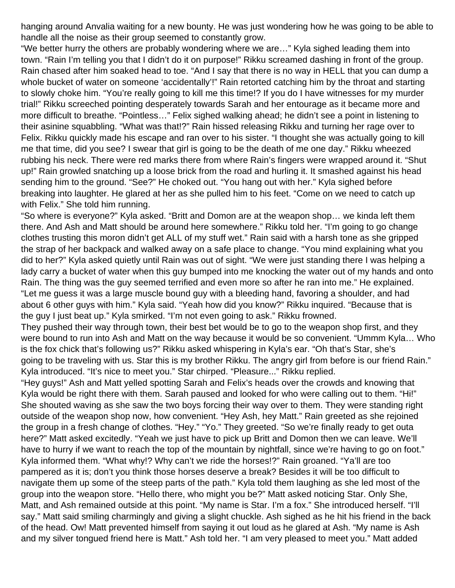hanging around Anvalia waiting for a new bounty. He was just wondering how he was going to be able to handle all the noise as their group seemed to constantly grow.

"We better hurry the others are probably wondering where we are…" Kyla sighed leading them into town. "Rain I'm telling you that I didn't do it on purpose!" Rikku screamed dashing in front of the group. Rain chased after him soaked head to toe. "And I say that there is no way in HELL that you can dump a whole bucket of water on someone 'accidentally'!" Rain retorted catching him by the throat and starting to slowly choke him. "You're really going to kill me this time!? If you do I have witnesses for my murder trial!" Rikku screeched pointing desperately towards Sarah and her entourage as it became more and more difficult to breathe. "Pointless…" Felix sighed walking ahead; he didn't see a point in listening to their asinine squabbling. "What was that!?" Rain hissed releasing Rikku and turning her rage over to Felix. Rikku quickly made his escape and ran over to his sister. "I thought she was actually going to kill me that time, did you see? I swear that girl is going to be the death of me one day." Rikku wheezed rubbing his neck. There were red marks there from where Rain's fingers were wrapped around it. "Shut up!" Rain growled snatching up a loose brick from the road and hurling it. It smashed against his head sending him to the ground. "See?" He choked out. "You hang out with her." Kyla sighed before breaking into laughter. He glared at her as she pulled him to his feet. "Come on we need to catch up with Felix." She told him running.

"So where is everyone?" Kyla asked. "Britt and Domon are at the weapon shop… we kinda left them there. And Ash and Matt should be around here somewhere." Rikku told her. "I'm going to go change clothes trusting this moron didn't get ALL of my stuff wet." Rain said with a harsh tone as she gripped the strap of her backpack and walked away on a safe place to change. "You mind explaining what you did to her?" Kyla asked quietly until Rain was out of sight. "We were just standing there I was helping a lady carry a bucket of water when this guy bumped into me knocking the water out of my hands and onto Rain. The thing was the guy seemed terrified and even more so after he ran into me." He explained. "Let me guess it was a large muscle bound guy with a bleeding hand, favoring a shoulder, and had about 6 other guys with him." Kyla said. "Yeah how did you know?" Rikku inquired. "Because that is the guy I just beat up." Kyla smirked. "I'm not even going to ask." Rikku frowned.

They pushed their way through town, their best bet would be to go to the weapon shop first, and they were bound to run into Ash and Matt on the way because it would be so convenient. "Ummm Kyla… Who is the fox chick that's following us?" Rikku asked whispering in Kyla's ear. "Oh that's Star, she's going to be traveling with us. Star this is my brother Rikku. The angry girl from before is our friend Rain." Kyla introduced. "It's nice to meet you." Star chirped. "Pleasure..." Rikku replied.

"Hey guys!" Ash and Matt yelled spotting Sarah and Felix's heads over the crowds and knowing that Kyla would be right there with them. Sarah paused and looked for who were calling out to them. "Hi!" She shouted waving as she saw the two boys forcing their way over to them. They were standing right outside of the weapon shop now, how convenient. "Hey Ash, hey Matt." Rain greeted as she rejoined the group in a fresh change of clothes. "Hey." "Yo." They greeted. "So we're finally ready to get outa here?" Matt asked excitedly. "Yeah we just have to pick up Britt and Domon then we can leave. We'll have to hurry if we want to reach the top of the mountain by nightfall, since we're having to go on foot." Kyla informed them. "What why!? Why can't we ride the horses!?" Rain groaned. "Ya'll are too pampered as it is; don't you think those horses deserve a break? Besides it will be too difficult to navigate them up some of the steep parts of the path." Kyla told them laughing as she led most of the group into the weapon store. "Hello there, who might you be?" Matt asked noticing Star. Only She, Matt, and Ash remained outside at this point. "My name is Star. I'm a fox." She introduced herself. "I'll say." Matt said smiling charmingly and giving a slight chuckle. Ash sighed as he hit his friend in the back of the head. Ow! Matt prevented himself from saying it out loud as he glared at Ash. "My name is Ash and my silver tongued friend here is Matt." Ash told her. "I am very pleased to meet you." Matt added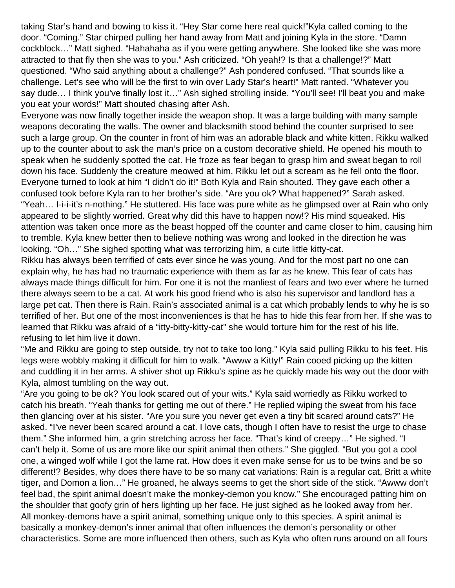taking Star's hand and bowing to kiss it. "Hey Star come here real quick!"Kyla called coming to the door. "Coming." Star chirped pulling her hand away from Matt and joining Kyla in the store. "Damn cockblock…" Matt sighed. "Hahahaha as if you were getting anywhere. She looked like she was more attracted to that fly then she was to you." Ash criticized. "Oh yeah!? Is that a challenge!?" Matt questioned. "Who said anything about a challenge?" Ash pondered confused. "That sounds like a challenge. Let's see who will be the first to win over Lady Star's heart!" Matt ranted. "Whatever you say dude... I think you've finally lost it..." Ash sighed strolling inside. "You'll see! I'll beat you and make you eat your words!" Matt shouted chasing after Ash.

Everyone was now finally together inside the weapon shop. It was a large building with many sample weapons decorating the walls. The owner and blacksmith stood behind the counter surprised to see such a large group. On the counter in front of him was an adorable black and white kitten. Rikku walked up to the counter about to ask the man's price on a custom decorative shield. He opened his mouth to speak when he suddenly spotted the cat. He froze as fear began to grasp him and sweat began to roll down his face. Suddenly the creature meowed at him. Rikku let out a scream as he fell onto the floor. Everyone turned to look at him "I didn't do it!" Both Kyla and Rain shouted. They gave each other a confused took before Kyla ran to her brother's side. "Are you ok? What happened?" Sarah asked. "Yeah… I-i-i-it's n-nothing." He stuttered. His face was pure white as he glimpsed over at Rain who only appeared to be slightly worried. Great why did this have to happen now!? His mind squeaked. His attention was taken once more as the beast hopped off the counter and came closer to him, causing him to tremble. Kyla knew better then to believe nothing was wrong and looked in the direction he was looking. "Oh…" She sighed spotting what was terrorizing him, a cute little kitty-cat.

Rikku has always been terrified of cats ever since he was young. And for the most part no one can explain why, he has had no traumatic experience with them as far as he knew. This fear of cats has always made things difficult for him. For one it is not the manliest of fears and two ever where he turned there always seem to be a cat. At work his good friend who is also his supervisor and landlord has a large pet cat. Then there is Rain. Rain's associated animal is a cat which probably lends to why he is so terrified of her. But one of the most inconveniences is that he has to hide this fear from her. If she was to learned that Rikku was afraid of a "itty-bitty-kitty-cat" she would torture him for the rest of his life, refusing to let him live it down.

"Me and Rikku are going to step outside, try not to take too long." Kyla said pulling Rikku to his feet. His legs were wobbly making it difficult for him to walk. "Awww a Kitty!" Rain cooed picking up the kitten and cuddling it in her arms. A shiver shot up Rikku's spine as he quickly made his way out the door with Kyla, almost tumbling on the way out.

"Are you going to be ok? You look scared out of your wits." Kyla said worriedly as Rikku worked to catch his breath. "Yeah thanks for getting me out of there." He replied wiping the sweat from his face then glancing over at his sister. "Are you sure you never get even a tiny bit scared around cats?" He asked. "I've never been scared around a cat. I love cats, though I often have to resist the urge to chase them." She informed him, a grin stretching across her face. "That's kind of creepy…" He sighed. "I can't help it. Some of us are more like our spirit animal then others." She giggled. "But you got a cool one, a winged wolf while I got the lame rat. How does it even make sense for us to be twins and be so different!? Besides, why does there have to be so many cat variations: Rain is a regular cat, Britt a white tiger, and Domon a lion…" He groaned, he always seems to get the short side of the stick. "Awww don't feel bad, the spirit animal doesn't make the monkey-demon you know." She encouraged patting him on the shoulder that goofy grin of hers lighting up her face. He just sighed as he looked away from her. All monkey-demons have a spirit animal, something unique only to this species. A spirit animal is basically a monkey-demon's inner animal that often influences the demon's personality or other characteristics. Some are more influenced then others, such as Kyla who often runs around on all fours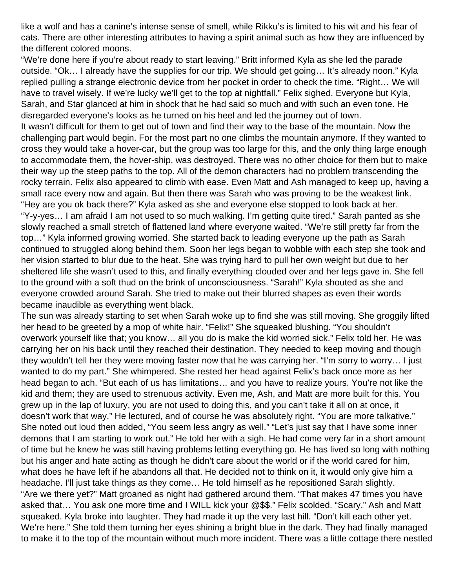like a wolf and has a canine's intense sense of smell, while Rikku's is limited to his wit and his fear of cats. There are other interesting attributes to having a spirit animal such as how they are influenced by the different colored moons.

"We're done here if you're about ready to start leaving." Britt informed Kyla as she led the parade outside. "Ok... I already have the supplies for our trip. We should get going... It's already noon." Kyla replied pulling a strange electronic device from her pocket in order to check the time. "Right… We will have to travel wisely. If we're lucky we'll get to the top at nightfall." Felix sighed. Everyone but Kyla, Sarah, and Star glanced at him in shock that he had said so much and with such an even tone. He disregarded everyone's looks as he turned on his heel and led the journey out of town. It wasn't difficult for them to get out of town and find their way to the base of the mountain. Now the challenging part would begin. For the most part no one climbs the mountain anymore. If they wanted to cross they would take a hover-car, but the group was too large for this, and the only thing large enough to accommodate them, the hover-ship, was destroyed. There was no other choice for them but to make their way up the steep paths to the top. All of the demon characters had no problem transcending the rocky terrain. Felix also appeared to climb with ease. Even Matt and Ash managed to keep up, having a small race every now and again. But then there was Sarah who was proving to be the weakest link. "Hey are you ok back there?" Kyla asked as she and everyone else stopped to look back at her. "Y-y-yes… I am afraid I am not used to so much walking. I'm getting quite tired." Sarah panted as she slowly reached a small stretch of flattened land where everyone waited. "We're still pretty far from the top…" Kyla informed growing worried. She started back to leading everyone up the path as Sarah continued to struggled along behind them. Soon her legs began to wobble with each step she took and her vision started to blur due to the heat. She was trying hard to pull her own weight but due to her sheltered life she wasn't used to this, and finally everything clouded over and her legs gave in. She fell to the ground with a soft thud on the brink of unconsciousness. "Sarah!" Kyla shouted as she and everyone crowded around Sarah. She tried to make out their blurred shapes as even their words became inaudible as everything went black.

The sun was already starting to set when Sarah woke up to find she was still moving. She groggily lifted her head to be greeted by a mop of white hair. "Felix!" She squeaked blushing. "You shouldn't overwork yourself like that; you know… all you do is make the kid worried sick." Felix told her. He was carrying her on his back until they reached their destination. They needed to keep moving and though they wouldn't tell her they were moving faster now that he was carrying her. "I'm sorry to worry… I just wanted to do my part." She whimpered. She rested her head against Felix's back once more as her head began to ach. "But each of us has limitations… and you have to realize yours. You're not like the kid and them; they are used to strenuous activity. Even me, Ash, and Matt are more built for this. You grew up in the lap of luxury, you are not used to doing this, and you can't take it all on at once, it doesn't work that way." He lectured, and of course he was absolutely right. "You are more talkative." She noted out loud then added, "You seem less angry as well." "Let's just say that I have some inner demons that I am starting to work out." He told her with a sigh. He had come very far in a short amount of time but he knew he was still having problems letting everything go. He has lived so long with nothing but his anger and hate acting as though he didn't care about the world or if the world cared for him, what does he have left if he abandons all that. He decided not to think on it, it would only give him a headache. I'll just take things as they come… He told himself as he repositioned Sarah slightly. "Are we there yet?" Matt groaned as night had gathered around them. "That makes 47 times you have asked that… You ask one more time and I WILL kick your @\$\$." Felix scolded. "Scary." Ash and Matt squeaked. Kyla broke into laughter. They had made it up the very last hill. "Don't kill each other yet. We're here." She told them turning her eyes shining a bright blue in the dark. They had finally managed to make it to the top of the mountain without much more incident. There was a little cottage there nestled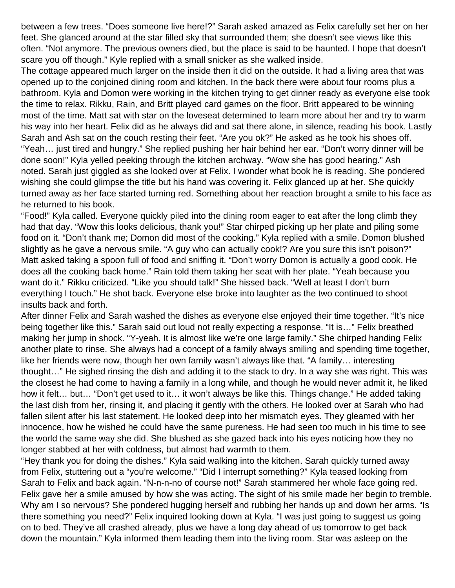between a few trees. "Does someone live here!?" Sarah asked amazed as Felix carefully set her on her feet. She glanced around at the star filled sky that surrounded them; she doesn't see views like this often. "Not anymore. The previous owners died, but the place is said to be haunted. I hope that doesn't scare you off though." Kyle replied with a small snicker as she walked inside.

The cottage appeared much larger on the inside then it did on the outside. It had a living area that was opened up to the conjoined dining room and kitchen. In the back there were about four rooms plus a bathroom. Kyla and Domon were working in the kitchen trying to get dinner ready as everyone else took the time to relax. Rikku, Rain, and Britt played card games on the floor. Britt appeared to be winning most of the time. Matt sat with star on the loveseat determined to learn more about her and try to warm his way into her heart. Felix did as he always did and sat there alone, in silence, reading his book. Lastly Sarah and Ash sat on the couch resting their feet. "Are you ok?" He asked as he took his shoes off. "Yeah… just tired and hungry." She replied pushing her hair behind her ear. "Don't worry dinner will be done soon!" Kyla yelled peeking through the kitchen archway. "Wow she has good hearing." Ash noted. Sarah just giggled as she looked over at Felix. I wonder what book he is reading. She pondered wishing she could glimpse the title but his hand was covering it. Felix glanced up at her. She quickly turned away as her face started turning red. Something about her reaction brought a smile to his face as he returned to his book.

"Food!" Kyla called. Everyone quickly piled into the dining room eager to eat after the long climb they had that day. "Wow this looks delicious, thank you!" Star chirped picking up her plate and piling some food on it. "Don't thank me; Domon did most of the cooking." Kyla replied with a smile. Domon blushed slightly as he gave a nervous smile. "A guy who can actually cook!? Are you sure this isn't poison?" Matt asked taking a spoon full of food and sniffing it. "Don't worry Domon is actually a good cook. He does all the cooking back home." Rain told them taking her seat with her plate. "Yeah because you want do it." Rikku criticized. "Like you should talk!" She hissed back. "Well at least I don't burn everything I touch." He shot back. Everyone else broke into laughter as the two continued to shoot insults back and forth.

After dinner Felix and Sarah washed the dishes as everyone else enjoyed their time together. "It's nice being together like this." Sarah said out loud not really expecting a response. "It is…" Felix breathed making her jump in shock. "Y-yeah. It is almost like we're one large family." She chirped handing Felix another plate to rinse. She always had a concept of a family always smiling and spending time together, like her friends were now, though her own family wasn't always like that. "A family… interesting thought…" He sighed rinsing the dish and adding it to the stack to dry. In a way she was right. This was the closest he had come to having a family in a long while, and though he would never admit it, he liked how it felt… but… "Don't get used to it… it won't always be like this. Things change." He added taking the last dish from her, rinsing it, and placing it gently with the others. He looked over at Sarah who had fallen silent after his last statement. He looked deep into her mismatch eyes. They gleamed with her innocence, how he wished he could have the same pureness. He had seen too much in his time to see the world the same way she did. She blushed as she gazed back into his eyes noticing how they no longer stabbed at her with coldness, but almost had warmth to them.

"Hey thank you for doing the dishes." Kyla said walking into the kitchen. Sarah quickly turned away from Felix, stuttering out a "you're welcome." "Did I interrupt something?" Kyla teased looking from Sarah to Felix and back again. "N-n-n-no of course not!" Sarah stammered her whole face going red. Felix gave her a smile amused by how she was acting. The sight of his smile made her begin to tremble. Why am I so nervous? She pondered hugging herself and rubbing her hands up and down her arms. "Is there something you need?" Felix inquired looking down at Kyla. "I was just going to suggest us going on to bed. They've all crashed already, plus we have a long day ahead of us tomorrow to get back down the mountain." Kyla informed them leading them into the living room. Star was asleep on the